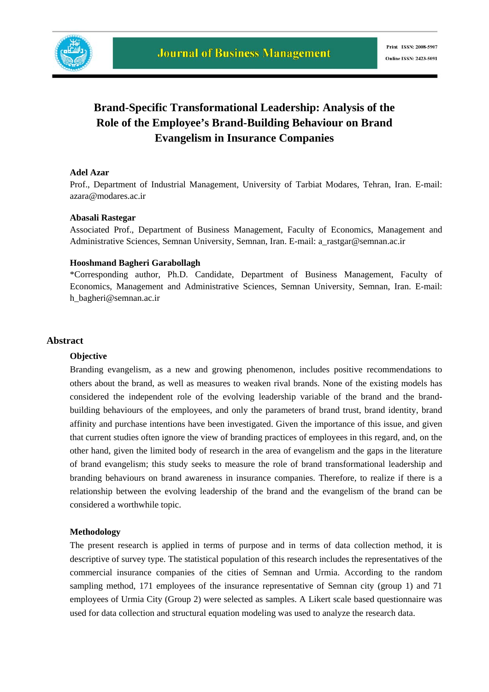

## **Brand-Specific Transformational Leadership: Analysis of the Role of the Employee's Brand-Building Behaviour on Brand Evangelism in Insurance Companies**

#### **Adel Azar**

Prof., Department of Industrial Management, University of Tarbiat Modares, Tehran, Iran. E-mail: azara@modares.ac.ir

#### **Abasali Rastegar**

Associated Prof., Department of Business Management, Faculty of Economics, Management and Administrative Sciences, Semnan University, Semnan, Iran. E-mail: a\_rastgar@semnan.ac.ir

#### **Hooshmand Bagheri Garabollagh**

\*Corresponding author*,* Ph.D. Candidate, Department of Business Management, Faculty of Economics, Management and Administrative Sciences, Semnan University, Semnan, Iran. E-mail: h\_bagheri@semnan.ac.ir

#### **Abstract**

#### **Objective**

Branding evangelism, as a new and growing phenomenon, includes positive recommendations to others about the brand, as well as measures to weaken rival brands. None of the existing models has considered the independent role of the evolving leadership variable of the brand and the brandbuilding behaviours of the employees, and only the parameters of brand trust, brand identity, brand affinity and purchase intentions have been investigated. Given the importance of this issue, and given that current studies often ignore the view of branding practices of employees in this regard, and, on the other hand, given the limited body of research in the area of evangelism and the gaps in the literature of brand evangelism; this study seeks to measure the role of brand transformational leadership and branding behaviours on brand awareness in insurance companies. Therefore, to realize if there is a relationship between the evolving leadership of the brand and the evangelism of the brand can be considered a worthwhile topic.

#### **Methodology**

The present research is applied in terms of purpose and in terms of data collection method, it is descriptive of survey type. The statistical population of this research includes the representatives of the commercial insurance companies of the cities of Semnan and Urmia. According to the random sampling method, 171 employees of the insurance representative of Semnan city (group 1) and 71 employees of Urmia City (Group 2) were selected as samples. A Likert scale based questionnaire was used for data collection and structural equation modeling was used to analyze the research data.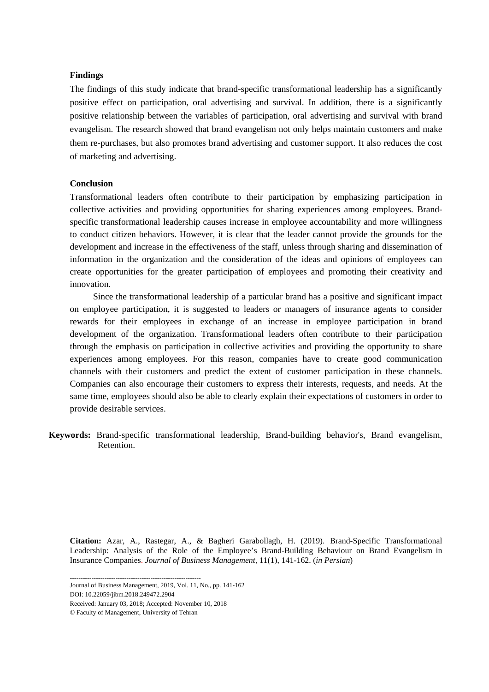#### **Findings**

The findings of this study indicate that brand-specific transformational leadership has a significantly positive effect on participation, oral advertising and survival. In addition, there is a significantly positive relationship between the variables of participation, oral advertising and survival with brand evangelism. The research showed that brand evangelism not only helps maintain customers and make them re-purchases, but also promotes brand advertising and customer support. It also reduces the cost of marketing and advertising.

#### **Conclusion**

Transformational leaders often contribute to their participation by emphasizing participation in collective activities and providing opportunities for sharing experiences among employees. Brandspecific transformational leadership causes increase in employee accountability and more willingness to conduct citizen behaviors. However, it is clear that the leader cannot provide the grounds for the development and increase in the effectiveness of the staff, unless through sharing and dissemination of information in the organization and the consideration of the ideas and opinions of employees can create opportunities for the greater participation of employees and promoting their creativity and innovation.

Since the transformational leadership of a particular brand has a positive and significant impact on employee participation, it is suggested to leaders or managers of insurance agents to consider rewards for their employees in exchange of an increase in employee participation in brand development of the organization. Transformational leaders often contribute to their participation through the emphasis on participation in collective activities and providing the opportunity to share experiences among employees. For this reason, companies have to create good communication channels with their customers and predict the extent of customer participation in these channels. Companies can also encourage their customers to express their interests, requests, and needs. At the same time, employees should also be able to clearly explain their expectations of customers in order to provide desirable services.

 **Keywords:** Brand-specific transformational leadership, Brand-building behavior's, Brand evangelism, Retention.

**Citation:** Azar, A., Rastegar, A., & Bagheri Garabollagh, H. (2019). Brand-Specific Transformational Leadership: Analysis of the Role of the Employee's Brand-Building Behaviour on Brand Evangelism in Insurance Companies. *Journal of Business Management,* 11(1), 141-162. (*in Persian*)

DOI: 10.22059/jibm.2018.249472.2904

<sup>------------------------------------------------------------</sup>  Journal of Business Management, 2019, Vol. 11, No., pp. 141-162

Received: January 03, 2018; Accepted: November 10, 2018

<sup>©</sup> Faculty of Management, University of Tehran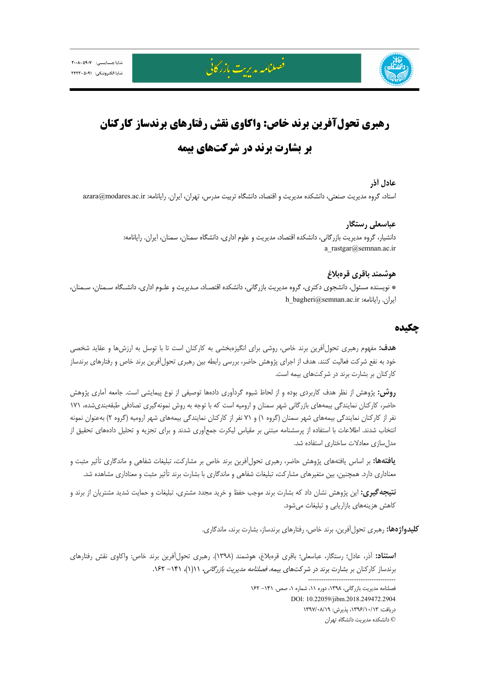

# **رهبري تحولآفرين برند خاص: واكاوي نقش رفتارهاي برندساز كاركنان بر بشارت برند در شركتهاي بيمه**

#### **عادل آذر**

استاد، گروه مديريت صنعتي، دانشكده مديريت و اقتصاد، دانشگاه تربيت مدرس، تهران، ايران. رايانامه: azara@modares.ac.ir

### **عباسعلي رستگار**

دانشيار، گروه مديريت بازرگاني، دانشكده اقتصاد، مديريت و علوم اداري، دانشگاه سمنان، سمنان، ايران. رايانامه: a\_rastgar@semnan.ac.ir

#### **هوشمند باقري قرهبلاغ**

\* نويسنده مسئول، دانشجوي دكتري، گروه مديريت بازرگاني، دانشكده اقتصـاد، مـديريت و علـوم اداري، دانشـگاه سـمنان، سـمنان، h\_bagheri@semnan.ac.ir :ايران. رايانامه:

#### **چكيده**

**هدف:** مفهوم رهبري تحولآفرين برند خاص، روشي براي انگيزهبخشي به كاركنان است تا با توسل به ارزشها و عقايد شخصي خود به نفع شركت فعاليت كنند. هدف از اجراي پژوهش حاضر، بررسي رابطه بين رهبري تحولآفرين برند خاص و رفتارهاي برندساز كاركنان بر بشارت برند در شركتهاي بيمه است.

**روش:** پژوهش از نظر هدف كاربردي بوده و از لحاظ شيوه گردآوري دادهها توصيفي از نوع پيمايشي است. جامعه آماري پژوهش حاضر، كاركنان نمايندگي بيمههاي بازرگاني شهر سمنان و اروميه است كه با توجه به روش نمونهگيري تصادفي طبقهبنديشده، 171 نفر از كاركنان نمايندگي بيمههاي شهر سمنان (گروه 1) و 71 نفر از كاركنان نمايندگي بيمههاي شهر اروميه (گروه 2 ) بهعنوان نمونه انتخاب شدند. اطلاعات با استفاده از پرسشنامه مبتني بر مقياس ليكرت جمعآوري شدند و براي تجزيه و تحليل دادههاي تحقيق از مدلسازي معادلات ساختاري استفاده شد.

**يافتهها:** بر اساس يافتههاي پژوهش حاضر، رهبري تحولآفرين برند خاص بر مشاركت، تبليغات شفاهي و ماندگاري تأثير مثبت و معناداري دارد. همچنين، بين متغيرهاي مشاركت، تبليغات شفاهي و ماندگاري با بشارت برند تأثير مثبت و معناداري مشاهده شد.

**نتيجهگيري:** اين پژوهش نشان داد كه بشارت برند موجب حفظ و خريد مجدد مشتري، تبليغات و حمايت شديد مشتريان از برند و كاهش هزينههاي بازاريابي و تبليغات ميشود.

**كليدواژهها:** رهبري تحولآفرين، برند خاص، رفتارهاي برندساز، بشارت برند، ماندگاري.

**استناد:** آذر، عادل؛ رستگار، عباسعلي؛ باقري قرهبلاغ، هوشمند (1398). رهبري تحولآفرين برند خاص: واكاوي نقش رفتارهاي برندساز كاركنان بر بشارت برند در شركتهاى بيمه. *فصلنامه مديريت بازرگاني، ١١(١)، ١٤٢*٠ - ١۶٢. ---------------------------------------- فصلنامه مديريت بازرگاني، ١٣٩٨، دوره ١١، شماره ١، صص. ١٤١ - ١٤٢ DOI: 10.22059/jibm.2018.249472.2904

دريافت: ،1396/10/13 پذيرش: 1397/08/19 © دانشكده مديريت دانشگاه تهران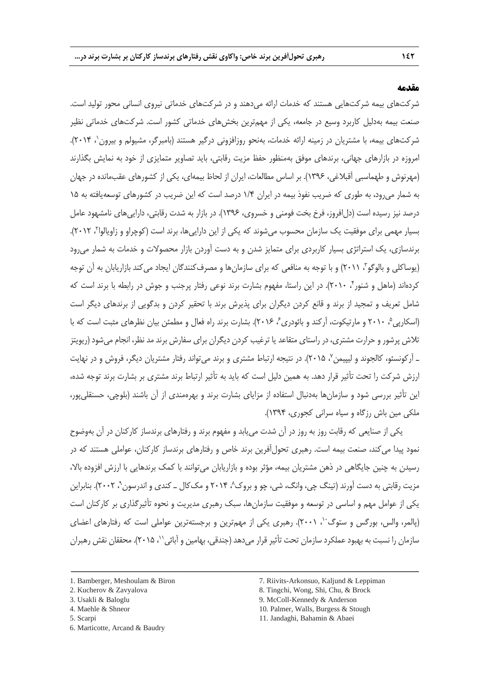#### **مقدمه**

شرکتهای بیمه شرکتهایی هستند که خدمات ارائه میدهند و در شرکتهای خدماتی نیروی انسانی محور تولید است. صنعت بیمه بهدلیل کاربرد وسیع در جامعه، یکی از مهمترین بخشهای خدماتی کشور است. شرکتهای خدماتی نظیر شرکتهای بیمه، با مشتریان در زمینه ارائه خدمات، بهنحو روزافزونی درگیر هستند (بامبرگر، مشیولم و بیرون'، ۲۰۱۴). امروزه در بازارهای جهانی، برندهای موفق بهمنظور حفظ مزیت رقابتی، باید تصاویر متمایزی از خود به نمایش بگذارند )مهرنوش و طهماسبی آقبالغی، 1936(. بر اساس مطالعات، ایران از لحاظ بیمهای، یکی از کشورهای عقبمانده در جهان به شمار میرود، به طوری که ضریب نفوذ بیمه در ایران 1/4 درصد است که این ضریب در کشورهای توسعهیافته به 11 درصد نیز رسیده است (دل|فروز، فرخ بخت فومنی و خسروی، ۱۳۹۶). در بازار به شدت رقابتی، داراییهای نامشهود عامل بسیار مهمی برای موفقیت یک سازمان محسوب میشوند که یکی از این داراییها، برند است (کوچراو و زاویالوا۲، ۲۰۱۲). برندسازی، یک استراتژی بسیار کاربردی برای متمایز شدن و به دست آوردن بازار محصوالت و خدمات به شمار میرود 9 )یوساکلی و بالوگو ، 2111( و با توجه به منافعی که برای سازمانها و مصرفکنندگان ایجاد میکند بازاریابان به آن توجه کردهاند (ماهل و شنور ٔ، ۲۰۱۰). در این راستا، مفهوم بشارت برند نوعی رفتار پرجنب و جوش در رابطه با برند است که شامل تعریف و تمجید از برند و قانع کردن دیگران برای پذیرش برند با تحقیر کردن و بدگویی از برندهای دیگر است (اسکارپی<sup>م</sup>، ۲۰۱۰ و مارتیکوت، اّرکند و بائودری۶ ، ۲۰۱۶). بشارت برند راه فعال و مطمئن بیان نظرهای مثبت است که با تالش پرشور و حرارت مشتری، در راستای متقاعدیا ترغیب کردن دیگران برای سفارش برندمدنظر، انجام میشود )ریویتز ـ آرکونسئو، کالجوند و لیپیمن ، 2111(. در نتیجه ارتباط مشتری و برند میتواند رفتار مشتریان دیگر، فروش و در نهایت <sup>7</sup> ارزش شرکت را تحت تأثیر قرار دهد. به همین دلیل است که باید به تأثیر ارتباط برند مشتری بر بشارت برند توجه شده، این تأثیر بررسی شود و سازمانها بهدنبال استفاده از مزایای بشارت برند و بهرهمندی از آن باشند )بلوچی، حسنقلیپور، ملکی مین باش رزگاه و سیاه سرانی کجوری، 1934(.

یکی از صنایعی که رقابت روز به روز در آن شدت مییابد و مفهوم برند و رفتارهای برندساز کارکنان در آن بهوضوح نمود پیدا میکند، صنعت بیمه است. رهبری تحولآفرین برند خاص و رفتارهای برندساز کارکنان، عواملی هستند که در رسیدن به چنین جایگاهی در ذهن مشتریان بیمه، مؤثر بوده و بازاریابان میتوانند با کمک برندهایی با ارزش افزوده باال، مزیت رقابتی به دست آورند (تینگ چی، وانگ، شی، چو و بروک^، ۲۰۱۴ و مک کال ــ کندی و اندرسون`، ۲۰۰۲). بنابراین یکی از عوامل مهم و اساسی در توسعه و موفقیت سازمانها، سبک رهبری مدیریت و نحوه تأثیرگذاری بر کارکنان است (پالمر، والس، بورگس و ستوگ<sup>۰٬</sup>، ۲۰۰۱). رهبری یکی از مهمترین و برجستهترین عواملی است که رفتارهای اعضای سازمان را نسبت به بهبود عملکرد سازمان تحت تأثیر قرار میدهد (جندقی، بهامین و آبائی ``، ۲۰۱۵). محققان نقش رهبران

- 9. McColl-Kennedy & Anderson
- 10. Palmer, Walls, Burgess & Stough
- 11. Jandaghi, Bahamin & Abaei

<sup>1.</sup> Bamberger, Meshoulam & Biron

<sup>2.</sup> Kucherov & Zavyalova

<sup>3.</sup> Usakli & Baloglu

<sup>4.</sup> Maehle & Shneor

<sup>5.</sup> Scarpi

<sup>6.</sup> Marticotte, Arcand & Baudry

<sup>7.</sup> Riivits-Arkonsuo, Kaljund & Leppiman

<sup>8.</sup> Tingchi, Wong, Shi, Chu, & Brock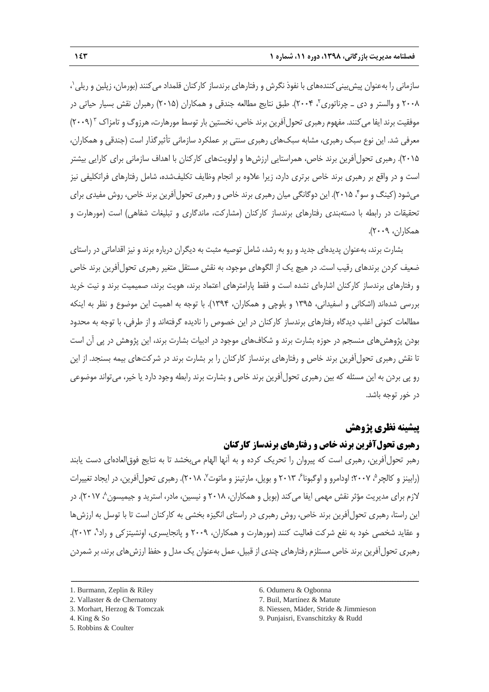1 سازمانی را بهعنوان پیشبینیکنندههای با نفوذ نگرش و رفتارهای برندساز کارکنان قلمداد میکنند )بورمان، زپلین و ریلی ، ۲۰۰۸ و والستر و دی ــ چرناتوری٬۲ -۲۰۰۴). طبق نتایج مطالعه جندقی و همکاران (۲۰۱۵) رهبران نقش بسیار حیاتی در موفقیت برند ایفا میکنند. مفهوم رهبری تحول آفرین برند خاص، نخستین بار توسط مورهارت، هرزوگ و تامزاک ۳ (۲۰۰۹) معرفی شد. این نوع سبک رهبری، مشابه سبکهای رهبری سنتی بر عملکرد سازمانی تأثیرگذار است )جندقی و همکاران، ۲۰۱۵). رهبری تحول آفرین برند خاص، همراستایی ارزش ها و اولویتهای کارکنان با اهداف سازمانی برای کارایی بیشتر است و در واقع بر رهبری برند خاص برتری دارد، زیرا عالوه بر انجام وظایف تکلیفشده، شامل رفتارهای فراتکلیفی نیز میشود (کینگ و سو ٔ، ۲۰۱۵). این دوگانگی میان رهبری برند خاص و رهبری تحولآفرین برند خاص، روش مفیدی برای تحقیقات در رابطه با دستهبندی رفتارهای برندساز کارکنان (مشارکت، ماندگاری و تبلیغات شفاهی) است (مورهارت و همکاران، 2113(.

بشارت برند، بهعنوان پدیدهای جدید و رو به رشد، شامل توصیه مثبت به دیگران درباره برند و نیز اقداماتی در راستای ضعیف کردن برندهای رقیب است. در هیچ یک از الگوهای موجود، به نقش مستقل متغیر رهبری تحولآفرین برند خاص و رفتارهای برندساز کارکنان اشارهای نشده است و فقط پارامترهای اعتماد برند، هویت برند، صمیمیت برند و نیت خرید بررسی شدهاند )اشکانی و اسفیدانی، 1931 و بلوچی و همکاران، 1934(. با توجه به اهمیت این موضوع و نظر به اینکه مطالعات کنونی اغلب دیدگاه رفتارهای برندساز کارکنان در این خصوص را نادیده گرفتهاند و از طرفی، با توجه به محدود بودن پژوهشهای منسجم در حوزه بشارت برند و شکافهای موجود در ادبیات بشارت برند، این پژوهش در پی آن است تا نقش رهبری تحولآفرین برند خاص و رفتارهای برندساز کارکنان را بر بشارت برند در شرکتهای بیمه بسنجد. از این رو پی بردن به این مسئله که بین رهبری تحولآفرین برند خاص و بشارت برند رابطه وجود دارد یا خیر، میتواند موضوعی در خور توجه باشد.

## **پیشینه نظری پژوهش**

## **رهبری تحولآفرین برند خاص و رفتارهای برندساز کارکنان**

رهبر تحولآفرین، رهبری است که پیروان را تحریک کرده و به آنها الهام میبخشد تا به نتایج فوقالعادهای دست یابند (رابینز و کالچر<sup>ه</sup>، ۲۰۰۷؛ اودامرو و اوگبونا<sup>ع</sup>، ۲۰۱۳ و بویل، مارتینز و ماتوت<sup>۷</sup>، ۲۰۱۸). رهبری تحولآفرین، در ایجاد تغییرات لازم برای مدیریت مؤثر نقش مهمی ایفا میکند (بویل و همکاران، ۲۰۱۸ و نیسین، مادر، استرید و جیمیسون $\langle \cdot \rangle$ ۲۰۱۷). در این راستا، رهبری تحول آفرین برند خاص، روش رهبری در راستای انگیزه بخشی به کارکنان است تا با توسل به ارزش ها و عقاید شخصی خود به نفع شرکت فعالیت کنند (مورهارت و همکاران، ۲۰۰۹ و پانجایسری، اوِنشیتزکی و راد<sup>۹</sup>، ۲۰۱۳). رهبری تحولآفرین برند خاص مستلزم رفتارهای چندی از قبیل، عمل بهعنوان یک مدل و حفظ ارزشهای برند، بر شمردن

<sup>1.</sup> Burmann, Zeplin & Riley

<sup>2.</sup> Vallaster & de Chernatony

<sup>3.</sup> Morhart, Herzog & Tomczak

<sup>4.</sup> King & So

<sup>5.</sup> Robbins & Coulter

<sup>6.</sup> Odumeru & Ogbonna

<sup>7.</sup> Buil, Martínez & Matute

<sup>8.</sup> Niessen, Mäder, Stride & Jimmieson

<sup>9.</sup> Punjaisri, Evanschitzky & Rudd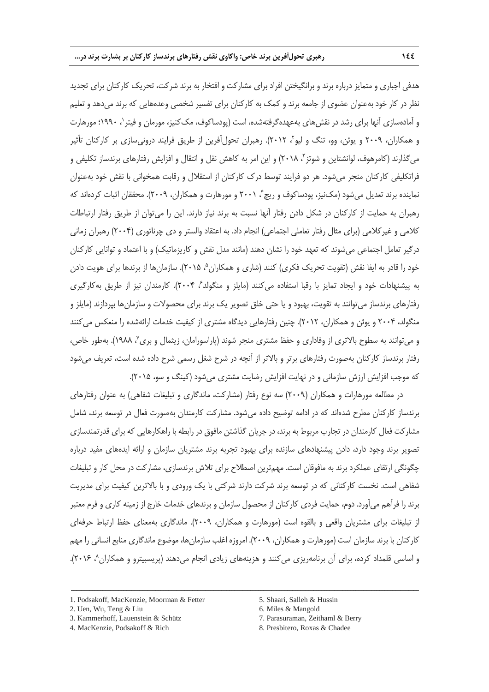هدفی اجباری و متمایز درباره برند و برانگیختن افراد برای مشارکت و افتخار به برند شرکت، تحریک کارکنان برای تجدید نظر در کار خود بهعنوان عضوی از جامعه برند و کمک به کارکنان برای تفسیر شخصی وعدههایی که برند میدهد و تعلیم و آمادهسازی آنها برای رشد در نقش۱عای بهعهدهگرفتهشده، است (پودساکوف، مک کنیز، مورمان و فیتر`، ۱۹۹۰؛ مورهارت و همکاران، ۲۰۰۹ و یوئن، وو، تنگ و لیو<sup>۲</sup>، ۲۰۱۲). رهبران تحولآفرین از طریق فرایند درونیسازی بر کارکنان تأثیر میگذارند (کامرهوف، لوانشتاین و شوتز<sup>۳</sup>، ۲۰۱۸) و این امر به کاهش نقل و انتقال و افزایش رفتارهای برندساز تکلیفی و فراتکلیفی کارکنان منجر میشود. هر دو فرایند توسط درک کارکنان از استقالل و رقابت همخوانی با نقش خود بهعنوان نماینده برند تعدیل میشود (مکنیز، پودساکوف و ریچ ٔ، ۲۰۰۱ و مورهارت و همکاران، ۲۰۰۹). محققان اثبات کردهاند که رهبران به حمایت از کارکنان در شکل دادن رفتار آنها نسبت به برند نیاز دارند. این را میتوان از طریق رفتار ارتباطات کالمی و غیرکالمی )برای مثال رفتار تعاملی اجتماعی( انجام داد. به اعتقاد والستر و دی چرناتوری )2114( رهبران زمانی درگیر تعامل اجتماعی می شوند که تعهد خود را نشان دهند (مانند مدل نقش و کاریزماتیک) و با اعتماد و توانایی کارکنان خود را قادر به ایفا نقش (تقویت تحریک فکری) کنند (شاری و همکاران <sup>۵</sup> ۲۰۱۵). سازمان ها از برندها برای هویت دادن به پیشنهادات خود و ایجاد تمایز با رقبا استفاده می کنند (مایلز و منگولد ً، ۲۰۰۴). کارمندان نیز از طریق بهکارگیری رفتارهای برندساز میتوانند به تقویت، بهبود و یا حتی خلق تصویر یک برند برای محصوالت و سازمانها بپردازند )مایلز و منگولد، ۲۰۰۴ و یوئن و همکاران، ۲۰۱۲). چنین رفتارهایی دیدگاه مشتری از کیفیت خدمات ارائهشده را منعکس می کنند و میتوانند به سطوح بالاتری از وفاداری و حفظ مشتری منجر شوند (پاراسورامان، زیثمال و بری"، ۱۹۸۸). بهطور خاص، رفتار برندساز کارکنان بهصورت رفتارهای برتر و باالتر از آنچه در شرح شغل رسمی شرح داده شده است، تعریف میشود که موجب افزایش ارزش سازمانی و در نهایت افزایش رضایت مشتری میشود )کینگ و سو، 2111(.

در مطالعه مورهارات و همکاران (۲۰۰۹) سه نوع رفتار (مشارکت، ماندگاری و تبلیغات شفاهی) به عنوان رفتارهای برندساز کارکنان مطرح شدهاند که در ادامه توضیح داده میشود. مشارکت کارمندان بهصورت فعال در توسعه برند، شامل مشارکت فعال کارمندان در تجارب مربوط به برند، در جریان گذاشتن مافوق در رابطه با راهکارهایی که برای قدرتمندسازی تصویر برند وجود دارد، دادن پیشنهادهای سازنده برای بهبود تجربه برند مشتریان سازمان و ارائه ایدههای مفید درباره چگونگی ارتقای عملکرد برند به مافوقان است. مهمترین اصطالح برای تالش برندسازی، مشارکت در محل کار و تبلیغات شفاهی است. نخست کارکنانی که در توسعه برند شرکت دارند شرکتی با یک ورودی و با باالترین کیفیت برای مدیریت برند را فرآهم میآورد. دوم، حمایت فردی کارکنان از محصول سازمان و برندهای خدمات خارج از زمینه کاری و فرم معتبر از تبلیغات برای مشتریان واقعی و بالقوه است )مورهارت و همکاران، 2113(. ماندگاری بهمعنای حفظ ارتباط حرفهای کارکنان با برند سازمان است )مورهارت و همکاران، 2113(. امروزه اغلب سازمانها، موضوع ماندگاری منابع انسانی را مهم و اساسی قلمداد کرده، برای آن برنامهریزی میکنند و هزینههای زیادی انجام میدهند (پریسبیترو و همکاران^، ۲۰۱۶).

- 1. Podsakoff, MacKenzie, Moorman & Fetter
- 2. Uen, Wu, Teng & Liu
- 3. Kammerhoff, Lauenstein & Schütz
- 4. MacKenzie, Podsakoff & Rich
- 7. Parasuraman, Zeithaml & Berry
- 8. Presbitero, Roxas & Chadee

<sup>5.</sup> Shaari, Salleh & Hussin

<sup>6.</sup> Miles & Mangold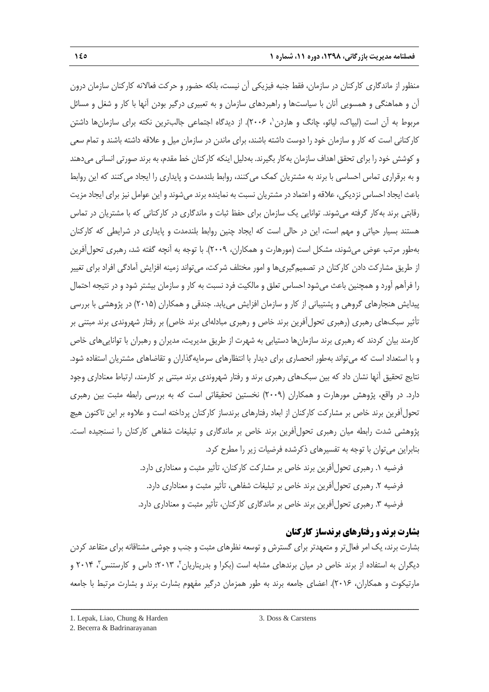منظور از ماندگاری کارکنان در سازمان، فقط جنبه فیزیکی آن نیست، بلکه حضور و حرکت فعاالنه کارکنان سازمان درون آن و هماهنگی و همسویی آنان با سیاستها و راهبردهای سازمان و به تعبیری درگیر بودن آنها با کار و شغل و مسائل مربوط به آن است (لیپاک، لپائو، چانگ و هاردن ٰ، ۲۰۰۶). از دیدگاه اجتماعی جالبترین نکته برای سازمانها داشتن کارکنانی است که کار و سازمان خود را دوست داشته باشند، برای ماندن در سازمان میل و عالقه داشته باشند و تمام سعی و کوشش خود را برای تحقق اهداف سازمان بهکار بگیرند. بهدلیل اینکه کارکنان خط مقدم، به برند صورتی انسانی میدهند و به برقراری تماس احساسی با برند به مشتریان کمک میکنند، روابط بلندمدت و پایداری را ایجاد میکنند که این روابط باعث ایجاد احساس نزدیکی، عالقه و اعتماد در مشتریان نسبت به نماینده برند میشوند و این عوامل نیز برای ایجاد مزیت رقابتی برند بهکار گرفته میشوند. توانایی یک سازمان برای حفظ ثبات و ماندگاری در کارکنانی که با مشتریان در تماس هستند بسیار حیاتی و مهم است، این در حالی است که ایجاد چنین روابط بلندمدت و پایداری در شرایطی که کارکنان بهطور مرتب عوض می شوند، مشکل است (مورهارت و همکاران، ۲۰۰۹). با توجه به آنچه گفته شد، رهبری تحول آفرین از طریق مشارکت دادن کارکنان در تصمیمگیریها و امور مختلف شرکت، میتواند زمینه افزایش آمادگی افراد برای تغییر را فرآهم آورد و همچنین باعث میشود احساس تعلق و مالکیت فرد نسبت به کار و سازمان بیشتر شود و در نتیجه احتمال پیدایش هنجارهای گروهی و پشتیبانی از کار و سازمان افزایش مییابد. جندقی و همکاران )2111( در پژوهشی با بررسی تأثیر سبکهای رهبری (رهبری تحولآفرین برند خاص و رهبری مبادلهای برند خاص) بر رفتار شهروندی برند مبتنی بر کارمند بیان کردند که رهبری برند سازمانها دستیابی به شهرت از طریق مدیریت، مدیران و رهبران با تواناییهای خاص و با استعداد است که میتواند بهطور انحصاری برای دیدار با انتظارهای سرمایهگذاران و تقاضاهای مشتریان استفاده شود. نتایج تحقیق آنها نشان داد که بین سبکهای رهبری برند و رفتار شهروندی برند مبتنی بر کارمند، ارتباط معناداری وجود دارد. در واقع، پژوهش مورهارت و همکاران (۲۰۰۹) نخستین تحقیقاتی است که به بررسی رابطه مثبت بین رهبری تحولآفرین برند خاص بر مشارکت کارکنان از ابعاد رفتارهای برندساز کارکنان پرداخته است و عالوه بر این تاکنون هیچ پژوهشی شدت رابطه میان رهبری تحولآفرین برند خاص بر ماندگاری و تبلیغات شفاهی کارکنان را نسنجیده است. بنابراین میتوان با توجه به تفسیرهای ذکرشده فرضیات زیر را مطرح کرد.

> فرضیه .1 رهبری تحولآفرین برند خاص بر مشارکت کارکنان، تأثیر مثبت و معناداری دارد. فرضیه ۲. رهبری تحول آفرین برند خاص بر تبلیغات شفاهی، تأثیر مثبت و معناداری دارد. فرضیه ۳. رهبری تحول آفرین برند خاص بر ماندگاری کارکنان، تأثیر مثبت و معناداری دارد.

## **بشارت برند و رفتارهای برندساز کارکنان**

بشارت برند، یک امر فعالتر و متعهدتر برای گسترش و توسعه نظرهای مثبت و جنب و جوشی مشتاقانه برای متقاعد کردن دیگران به استفاده از برند خاص در میان برندهای مشابه است (بکرا و بدریناریان<sup>۲</sup>، ۲۰۱۳؛ داس و کارستنس<sup>۳</sup>، ۲۰۱۴ و مارتیکوت و همکاران، 2116(. اعضای جامعه برند به طور همزمان درگیر مفهوم بشارت برند و بشارت مرتبط با جامعه

<sup>1.</sup> Lepak, Liao, Chung & Harden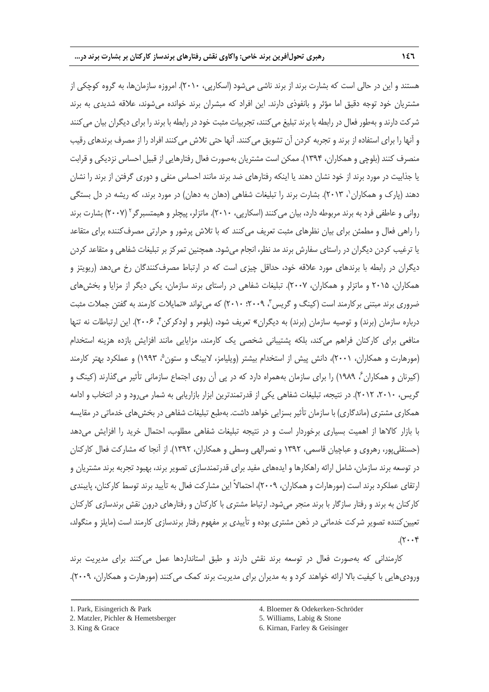هستند و این در حالی است که بشارت برند از برند ناشی میشود )اسکارپی، 2111(. امروزه سازمانها، به گروه کوچکی از مشتریان خود توجه دقیق اما مؤثر و بانفوذی دارند. این افراد که مبشران برند خوانده میشوند، عالقه شدیدی به برند شرکت دارند و بهطور فعال در رابطه با برند تبلیغ میکنند، تجربیات مثبت خود در رابطه با برند را برای دیگران بیان میکنند و آنها را برای استفاده از برند و تجربه کردن آن تشویق میکنند. آنها حتی تالش میکنند افراد را از مصرف برندهای رقیب منصرف کنند (بلوچی و همکاران، ۱۳۹۴). ممکن است مشتریان بهصورت فعال رفتارهایی از قبیل احساس نزدیکی و قرابت یا جذابیت در مورد برند از خود نشان دهند یا اینکه رفتارهای ضد برند مانند احساس منفی و دوری گرفتن از برند را نشان دهند (یارک و همکاران '، ۲۰۱۳). بشارت برند را تبلیغات شفاهی (دهان به دهان) در مورد برند، که ریشه در دل بستگی روانی و عاطفی فرد به برند مربوطه دارد، بیان میکنند (اسکارپی، ۲۰۱۰). ماتزلر، پیچلر و هیمتسبرگر<sup>۲</sup> (۲۰۰۷) بشارت برند را راهی فعال و مطمئن برای بیان نظرهای مثبت تعریف میکنند که با تالش پرشور و حرارتی مصرفکننده برای متقاعد یا ترغیب کردن دیگران در راستای سفارش برند مد نظر، انجام میشود. همچنین تمرکز بر تبلیغات شفاهی و متقاعد کردن دیگران در رابطه با برندهای مورد عالقه خود، حداقل چیزی است که در ارتباط مصرفکنندگان رخ میدهد )ریویتز و همکاران، 2111 و ماتزلر و همکاران، 2117(. تبلیغات شفاهی در راستای برند سازمان، یکی دیگر از مزایا و بخشهای ضروری برند مبتنی بر کارمند است (کینگ و گریس ، ۲۰۰۹؛ ۲۰۱۰) که می تواند «تمایلات کارمند به گفتن جملات مثبت درباره سازمان (برند) و توصیه سازمان (برند) به دیگران» تعریف شود، (بلومر و اودکرکن۴، ۲۰۰۶). این ارتباطات نه تنها منافعی برای کارکنان فراهم میکند، بلکه پشتیبانی شخصی یک کارمند، مزایایی مانند افزایش بازده هزینه استخدام (مورهارت و همکاران، ۲۰۰۱)، دانش پیش از استخدام بیشتر (ویلیامز، لابینگ و ستون<sup>۵</sup>، ۱۹۹۳) و عملکرد بهتر کارمند (کیرنان و همکاران ً، ۱۹۸۹) را برای سازمان بههمراه دارد که در پی آن روی اجتماع سازمانی تأثیر میگذارند (کینگ و گریس، ،2111 2112(. در نتیجه، تبلیغات شفاهی یکی از قدرتمندترین ابزار بازاریابی به شمار میرود و در انتخاب و ادامه همکاری مشتری (ماندگاری) با سازمان تأثیر بسزایی خواهد داشت. بهطبع تبلیغات شفاهی در بخش های خدماتی در مقایسه با بازار کاالها از اهمیت بسیاری برخوردار است و در نتیجه تبلیغات شفاهی مطلوب، احتمال خرید را افزایش میدهد )حسنقلیپور، رهروی و عباچیان قاسمی، 1932 و نصرالهی وسطی و همکاران، 1932(. از آنجا که مشارکت فعال کارکنان در توسعه برند سازمان، شامل ارائه راهکارها و ایدههای مفید برای قدرتمندسازی تصویر برند، بهبود تجربه برند مشتریان و ارتقای عملکرد برند است )مورهارات و همکاران، 2113(، احتماالً این مشارکت فعال به تأیید برند توسط کارکنان، پایبندی کارکنان به برند و رفتار سازگار با برند منجر میشود. ارتباط مشتری با کارکنان و رفتارهای درون نقش برندسازی کارکنان تعیین کننده تصویر شرکت خدماتی در ذهن مشتری بوده و تأییدی بر مفهوم رفتار برندسازی کارمند است (مایلز و منگولد،  $.7.7$ 

کارمندانی که بهصورت فعال در توسعه برند نقش دارند و طبق استانداردها عمل میکنند برای مدیریت برند ورودیهایی با کیفیت بالا ارائه خواهند کرد و به مدیران برای مدیریت برند کمک می کنند (مورهارت و همکاران، ۲۰۰۹).

ــــــــــــــــــــــــــــــــــــــــــــــــــــــــــــــــــــــــــــــــــــــــــــــــــــــــــــــــــــــــــــــــــــ

5. Williams, Labig & Stone

<sup>1.</sup> Park, Eisingerich & Park

<sup>2.</sup> Matzler, Pichler & Hemetsberger

<sup>3.</sup> King & Grace

<sup>4.</sup> Bloemer & Odekerken-Schröder

<sup>6.</sup> Kirnan, Farley & Geisinger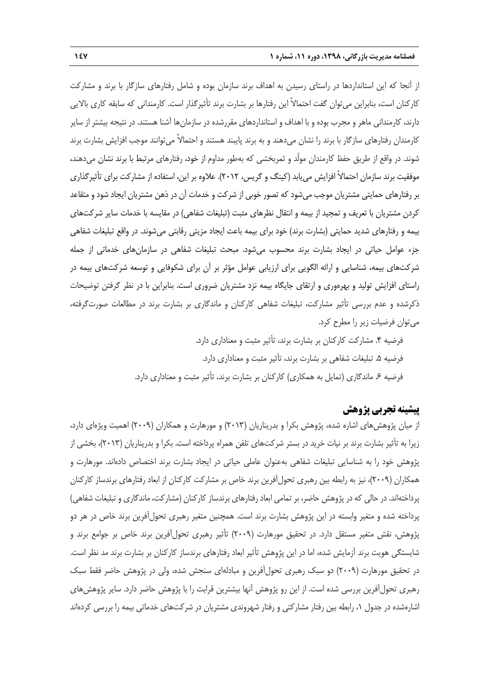از آنجا که این استانداردها در راستای رسیدن به اهداف برند سازمان بوده و شامل رفتارهای سازگار با برند و مشارکت کارکنان است، بنابراین میتوان گفت احتماالً این رفتارها بر بشارت برند تأثیرگذار است. کارمندانی که سابقه کاری باالیی دارند، کارمندانی ماهر و مجرب بوده و با اهداف و استانداردهای مقررشده در سازمانها آشنا هستند. در نتیجه بیشتر از سایر کارمندان رفتارهای سازگار با برند را نشان میدهند و به برند پایبند هستند و احتماالً میتوانند موجب افزایش بشارت برند شوند. در واقع از طریق حفظ کارمندان مولّد و ثمربخشی که بهطور مداوم از خود، رفتارهای مرتبط با برند نشان میدهند، موفقیت برند سازمان احتماالً افزایش مییابد )کینگ و گریس، 2112(. عالوه بر این، استفاده از مشارکت برای تأثیرگذاری بر رفتارهای حمایتی مشتریان موجب میشود که تصور خوبی از شرکت و خدمات آن در ذهن مشتریان ایجاد شود و متقاعد کردن مشتریان با تعریف و تمجید از بیمه و انتقال نظرهای مثبت (تبلیغات شفاهی) در مقایسه با خدمات سایر شرکتهای بیمه و رفتارهای شدید حمایتی (بشارت برند) خود برای بیمه باعث ایجاد مزیتی رقابتی میشوند. در واقع تبلیغات شفاهی جزء عوامل حیاتی در ایجاد بشارت برند محسوب میشود. مبحث تبلیغات شفاهی در سازمانهای خدماتی از جمله شرکتهای بیمه، شناسایی و ارائه الگویی برای ارزیابی عوامل مؤثر بر آن برای شکوفایی و توسعه شرکتهای بیمه در راستای افزایش تولید و بهرهوری و ارتقای جایگاه بیمه نزد مشتریان ضروری است. بنابراین با در نظر گرفتن توضیحات ذکرشده و عدم بررسی تأثیر مشارکت، تبلیغات شفاهی کارکنان و ماندگاری بر بشارت برند در مطالعات صورتگرفته، میتوان فرضیات زیر را مطرح کرد.

> فرضیه .4 مشارکت کارکنان بر بشارت برند، تأثیر مثبت و معناداری دارد. فرضیه .1 تبلیغات شفاهی بر بشارت برند، تأثیر مثبت و معناداری دارد. فرضیه ۶. ماندگاری (تمایل به همکاری) کارکنان بر بشارت برند، تأثیر مثبت و معناداری دارد.

## **پیشینه تجربی پژوهش**

از میان پژوهشهای اشاره شده، پژوهش بکرا و بدریناریان (۲۰۱۳) و مورهارت و همکاران (۲۰۰۹) اهمیت ویژهای دارد، زیرا به تأثیر بشارت برند بر نیات خرید در بستر شرکتهای تلفن همراه پرداخته است. بکرا و بدریناریان )2119(، بخشی از پژوهش خود را به شناسایی تبلیغات شفاهی بهعنوان عاملی حیاتی در ایجاد بشارت برند اختصاص دادهاند. مورهارت و همکاران )2113(، نیز به رابطه بین رهبری تحولآفرین برند خاص بر مشارکت کارکنان از ابعاد رفتارهای برندساز کارکنان پرداختهاند. در حالی که در پژوهش حاضر، بر تمامی ابعاد رفتارهای برندساز کارکنان (مشارکت، ماندگاری و تبلیغات شفاهی) پرداخته شده و متغیر وابسته در این پژوهش بشارت برند است. همچنین متغیر رهبری تحولآفرین برند خاص در هر دو پژوهش، نقش متغیر مستقل دارد. در تحقیق مورهارت (۲۰۰۹) تأثیر رهبری تحولآفرین برند خاص بر جوامع برند و شایستگی هویت برند آزمایش شده، اما در این پژوهش تأثیر ابعاد رفتارهای برندساز کارکنان بر بشارت برند مد نظر است. در تحقیق مورهارت )2113( دو سبک رهبری تحولآفرین و مبادلهای سنجش شده، ولی در پژوهش حاضر فقط سبک رهبری تحولآفرین بررسی شده است. از این رو پژوهش آنها بیشترین قرابت را با پژوهش حاضر دارد. سایر پژوهشهای اشارهشده در جدول ،1 رابطه بین رفتار مشارکتی و رفتار شهروندی مشتریان در شرکتهای خدماتی بیمه را بررسی کردهاند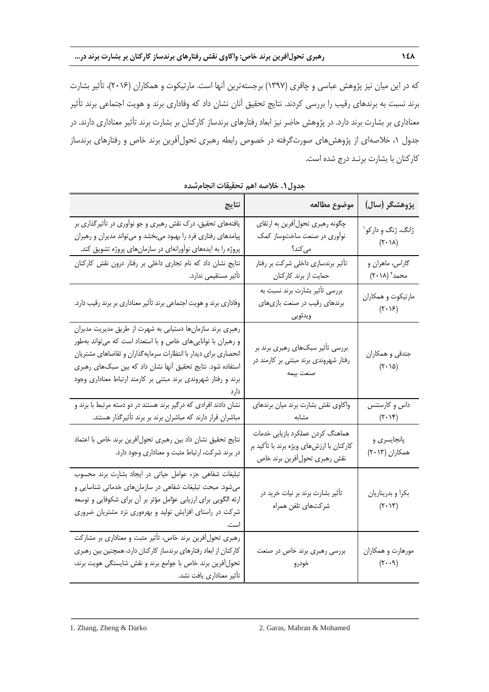که در این میان نیز پژوهش عباسی و چاقری )1937( برجستهترین آنها است. مارتیکوت و همکاران )2116(، تأثیر بشارت برند نسبت به برندهای رقیب را بررسی کردند. نتایج تحقیق آنان نشان داد که وفاداری برند و هویت اجتماعی برند تأثیر معناداری بر بشارت برند دارد. در پژوهش حاضر نیز ابعاد رفتارهای برندساز کارکنان بر بشارت برند تأثیر معناداری دارند. در جدول ،1 خالصهای از پژوهشهای صورتگرفته در خصوص رابطه رهبری تحولآفرین برند خاص و رفتارهای برندساز کارکنان با بشارت برنـد درج شده است.

| نتايج                                                                                                                                                                                                                                                                                                                       | موضوع مطالعه                                                                                                  | پژوهشگر (سال)                                                         |
|-----------------------------------------------------------------------------------------------------------------------------------------------------------------------------------------------------------------------------------------------------------------------------------------------------------------------------|---------------------------------------------------------------------------------------------------------------|-----------------------------------------------------------------------|
| یافتههای تحقیق، درک نقش رهبری و جو نوآوری در تأثیرگذاری بر<br>پیامدهای رفتاری فرد را بهبود میبخشد و میتواند مدیران و رهبران<br>پروژه را به ایدههای نوآورانهای در سازمانهای پروژه تشویق کند.                                                                                                                                 | چگونه رهبری تحولأفرين به ارتقاي<br>نوآوری در صنعت ساختوساز کمک                                                | ژانگ، ژنگ و دارکو`<br>$(Y \cdot \lambda)$                             |
| نتایج نشان داد که نام تجاری داخلی بر رفتار درون نقش کارکنان<br>تأثير مستقيمي ندارد.                                                                                                                                                                                                                                         | تأثیر برندسازی داخلی شرکت بر رفتار<br>حمایت از برند کارکنان                                                   | گاراس، ماهران و<br>$(\mathbf{Y}\boldsymbol{\cdot} \mathbf{M})$ محمد آ |
| وفاداری برند و هویت اجتماعی برند تأثیر معناداری بر برند رقیب دارد.                                                                                                                                                                                                                                                          | بررسی تأثیر بشارت برند نسبت به<br>برندهای رقیب در صنعت بازیهای<br>ويدئويي                                     | مارتيكوت و همكاران<br>$(\mathbf{Y} \cdot \mathbf{Y})$                 |
| رهبری برند سازمانها دستیابی به شهرت از طریق مدیریت مدیران<br>و رهبران با تواناییهای خاص و با استعداد است که میتواند بهطور<br>انحصاری برای دیدار با انتظارات سرمایهگذاران و تقاضاهای مشتریان<br>استفاده شود. نتایج تحقیق آنها نشان داد که بین سبکهای رهبری<br>برند و رفتار شهروندی برند مبتنی بر کارمند ارتباط معناداری وجود | بررسی تأثیر سبکهای رهبری برند بر<br>رفتار شهروندی برند مبتنی بر کارمند در<br>صنعت بيمه                        | جندقي و همكاران<br>$(\tau \cdot \Delta)$                              |
| نشان دادند افرادی که درگیر برند هستند در دو دسته مرتبط با برند و<br>مباشران قرار دارند که مباشران برند بر برند تأثیرگذار هستند.                                                                                                                                                                                             | واكاوى نقش بشارت برند ميان برندهاى<br>مشابه                                                                   | داس و کارستنس<br>$(\mathbf{r} \cdot \mathbf{v})$                      |
| نتايج تحقيق نشان داد بين رهبرى تحول[فرين برند خاص با اعتماد<br>در برند شرکت، ارتباط مثبت و معناداری وجود دارد.                                                                                                                                                                                                              | هماهنگ کردن عملکرد بازیابی خدمات<br>کارکنان با ارزشهای ویژه برند با تأکید بر<br>نقش رهبري تحول أفرين برند خاص | پانجایسری و<br>همکاران (۲۰۱۳)                                         |
| تبلیغات شفاهی جزء عوامل حیاتی در ایجاد بشارت برند محسوب<br>میشود. مبحث تبلیغات شفاهی در سازمانهای خدماتی شناسایی و<br>ارئه الگویی برای ارزیابی عؤامل مؤثر بر آن برای شکوفایی و توسعه<br>شرکت در راستای افزایش تولید و بهرهوری نزد مشتریان ضروری                                                                             | تأثیر بشارت برند بر نیات خرید در<br>شركتهاي تلفن همراه                                                        | بكرا و بدريناريان<br>$(\mathbf{Y} \cdot \mathbf{Y})$                  |
| رهبری تحول آفرین برند خاص، تأثیر مثبت و معناداری بر مشارکت<br>كاركنان از ابعاد رفتارهاي برندساز كاركنان دارد، همچنين بين رهبري<br>تحول آفرین برند خاص با جوامع برند و نقش شایستگی هویت برند،<br>تأثير معناداري يافت نشد.                                                                                                    | بررسی رهبری برند خاص در صنعت<br>خودرو                                                                         | مورهارت و همكاران<br>$(\mathcal{F} \cdot \cdot \mathcal{A})$          |

**جدول.2 خالصه اهم تحقیقات انجامشده**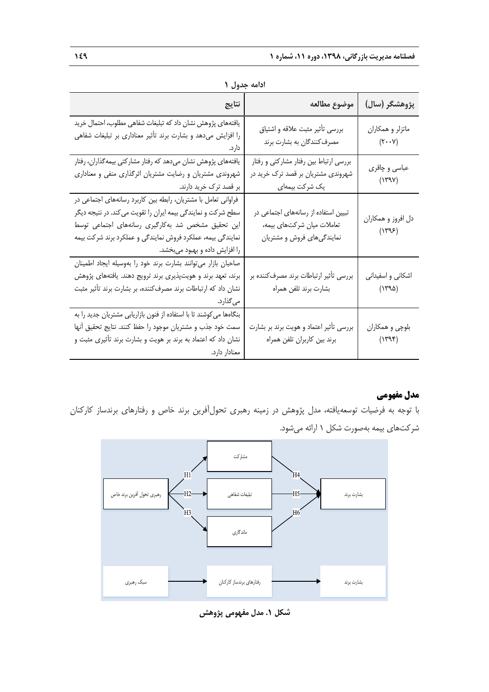| ادامه جدول ۱                                                                                                                                                                                                                                                                         |                                                                                                        |                                                        |  |  |  |
|--------------------------------------------------------------------------------------------------------------------------------------------------------------------------------------------------------------------------------------------------------------------------------------|--------------------------------------------------------------------------------------------------------|--------------------------------------------------------|--|--|--|
| نتايج                                                                                                                                                                                                                                                                                | موضوع مطالعه                                                                                           | پژوهشگر (سال)                                          |  |  |  |
| یافتههای پژوهش نشان داد که تبلیغات شفاهی مطلوب، احتمال خرید<br>را افزایش میدهد و بشارت برند تأثیر معناداری بر تبلیغات شفاهی<br>دارد.                                                                                                                                                 | بررسی تأثير مثبت علاقه و اشتياق<br>مصرفکنندگان به بشارت برند                                           | ماتزلر و همکاران<br>$(\mathsf{Y}\cdot\cdot\mathsf{Y})$ |  |  |  |
| یافتههای پژوهش نشان میدهد که رفتار مشارکتی بیمهگذاران، رفتار<br>شهروندی مشتریان و رضایت مشتریان اثرگذاری منفی و معناداری<br>  بر قصد ترک خرید دارند.                                                                                                                                 | بررسی ارتباط بین رفتار مشارکتی و رفتار<br>شهروندی مشتریان بر قصد ترک خرید در<br>یک شرکت بیمها <i>ی</i> | عباسي و چاقري<br>$(Y^{\alpha}Y)$                       |  |  |  |
| فراوانی تعامل با مشتریان، رابطه بین کاربرد رسانههای اجتماعی در<br>سطح شرکت و نمایندگی بیمه ایران را تقویت میکند. در نتیجه دیگر<br>این تحقیق مشخص شد بهکارگیری رسانههای اجتماعی توسط<br>نمایندگی بیمه، عملکرد فروش نمایندگی و عملکرد برند شرکت بیمه<br>را افزایش داده و بهبود میبخشد. | تبیین استفاده از رسانههای اجتماعی در<br>تعاملات میان شرکتهای بیمه،<br>نمایندگیهای فروش و مشتریان       | دل افروز و همکاران<br>(1795)                           |  |  |  |
| صاحبان بازار مىتوانند بشارت برند خود را بهوسيله ايجاد اطمينان<br>برند، تعهد برند و هویتپذیری برند ترویج دهند. یافتههای پژوهش<br>نشان داد که ارتباطات برند مصرف کننده، بر بشارت برند تأثیر مثبت<br>میگذارد.                                                                           | بررسی تأثیر ارتباطات برند مصرف کننده بر<br>بشارت برند تلفن همراه                                       | اشکانی و اسفیدانی<br>(۱۳۹۵)                            |  |  |  |
| بنگاهها می کوشند تا با استفاده از فنون بازاریابی مشتریان جدید را به<br>سمت خود جذب و مشتریان موجود را حفظ کنند. نتایج تحقیق أنها<br>نشان داد که اعتماد به برند بر هویت و بشارت برند تأثیری مثبت و<br>معنادار دارد.                                                                   | بررسی تأثیر اعتماد و هویت برند بر بشارت<br>برند بین کاربران تلفن همراه                                 | بلوچي و همکاران<br>(1794)                              |  |  |  |

**ادامه جدول 2**

## **مدل مفهومی**

با توجه به فرضیات توسعهیافته، مدل پژوهش در زمینه رهبری تحولآفرین برند خاص و رفتارهای برندساز کارکنان شرکتهای بیمه بهصورت شکل 1 ارائه میشود.



**شکل .2 مدل مفهومی پژوهش**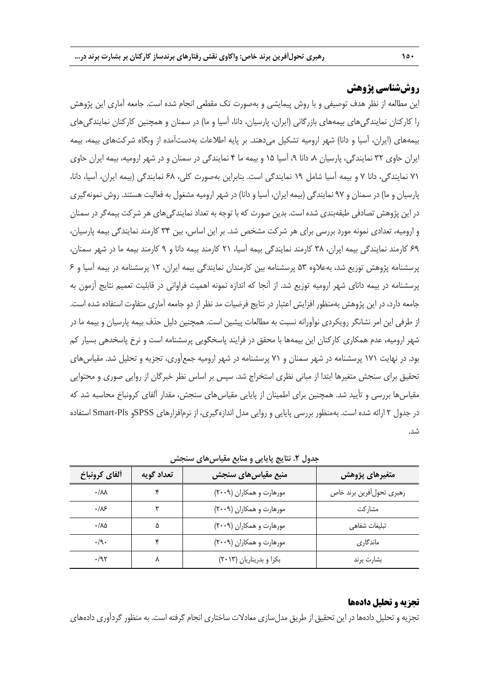## **روششناسی پژوهش**

این مطالعه از نظر هدف توصیفی و با روش پیمایشی و بهصورت تک مقطعی انجام شده است. جامعه آماری این پژوهش را کارکنان نمایندگیهای بیمههای بازرگانی )ایران، پارسیان، دانا، آسیا و ما( در سمنان و همچنین کارکنان نمایندگیهای بیمههای (ایران، آسیا و دانا) شهر ارومیه تشکیل میدهند. بر پایه اطلاعات بهدستآمده از وبگاه شرکتهای بیمه، بیمه ایران حاوی 92 نمایندگی، پارسیان ،1 دانا ،3 آسیا 11 و بیمه ما 4 نمایندگی در سمنان و در شهر ارومیه، بیمه ایران حاوی 71 نمایندگی، دانا 7 و بیمه آسیا شامل 13 نمایندگی است. بنابراین بهصورت کلی، 61 نمایندگی )بیمه ایران، آسیا، دانا، پارسیان و ما) در سمنان و ۹۷ نمایندگی (بیمه ایران، آسیا و دانا) در شهر ارومیه مشغول به فعالیت هستند. روش نمونهگیری در این پژوهش تصادفی طبقهبندی شده است. بدین صورت که با توجه به تعداد نمایندگیهای هر شرکت بیمهگر در سمنان و ارومیه، تعدادی نمونه مورد بررسی برای هر شرکت مشخص شد. بر این اساس، بین 94 کارمند نمایندگی بیمه پارسیان، 63 کارمند نمایندگی بیمه ایران، 91 کارمند نمایندگی بیمه آسیا، 21 کارمند بیمه دانا و 3 کارمند بیمه ما در شهر سمنان، پرسشنامه پژوهش توزیع شد، بهعالوه 19 پرسشنامه بین کارمندان نمایندگی بیمه ایران، 12 پرسشنامه در بیمه آسیا و 6 پرسشنامه در بیمه دانای شهر ارومیه توزیع شد. از آنجا که اندازه نمونه اهمیت فراوانی در قابلیت تعمیم نتایج آزمون به جامعه دارد، در این پژوهش بهمنظور افزایش اعتبار در نتایج فرضیات مد نظر از دو جامعه آماری متفاوت استفاده شده است. از طرفی این امر نشانگر رویکردی نوآورانه نسبت به مطالعات پیشین است. همچنین دلیل حذف بیمه پارسیان و بیمه ما در شهر ارومیه، عدم همکاری کارکنان این بیمهها با محقق در فرایند پاسخگویی پرسشنامه است و نرخ پاسخدهی بسیار کم بود. در نهایت 171 پرسشنامه در شهر سمنان و 71 پرسشنامه در شهر ارومیه جمعآوری، تجزیه و تحلیل شد. مقیاسهای تحقیق برای سنجش متغیرها ابتدا از مبانی نظری استخراج شد. سپس بر اساس نظر خبرگان از روایی صوری و محتوایی مقیاسها بررسی و تأیید شد. همچنین برای اطمینان از پایایی مقیاسهای سنجش، مقدار آلفای کرونباخ محاسبه شد که در جدول 2 ارائه شده است. بهمنظور بررسی پایایی و روایی مدل اندازهگیری، از نرمافزارهای SPSSو Pls-Smart استفاده شد.

| ألفاي كرونباخ          | تعداد گويه | منبع مقياس هاى سنجش      | متغیرهای پژوهش            |
|------------------------|------------|--------------------------|---------------------------|
| $\cdot/\lambda\lambda$ |            | مورهارت و همکاران (۲۰۰۹) | رهبري تحول أفرين برند خاص |
| .18                    |            | مورهارت و همکاران (۲۰۰۹) | مشاركت                    |
| ۸۵/۰                   | ۵          | مورهارت و همکاران (۲۰۰۹) | تبليغات شفاهى             |
| $\cdot$ /9 $\cdot$     |            | مورهارت و همکاران (۲۰۰۹) | ماندگاری                  |
| $\cdot$ /95            |            | بکرا و بدریناریان (۲۰۱۳) | بشارت برند                |

**جدول .1 نتایج پایایی و منابع مقیاسهای سنجش**

#### **تجزیه و تحلیل دادهها**

تجزیه و تحلیل دادهها در این تحقیق از طریق مدل سازی معادلات ساختاری انجام گرفته است. به منظور گردآوری دادههای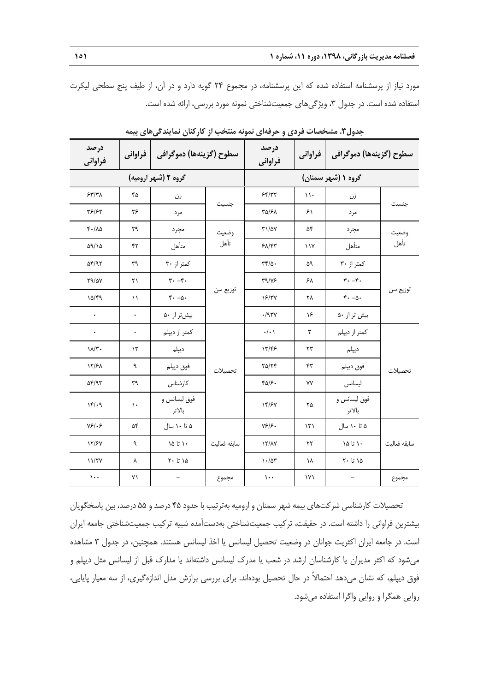مورد نیاز از پرسشنامه استفاده شده که این پرسشنامه، در مجموع 24 گویه دارد و در آن، از طیف پنج سطحی لیکرت استفاده شده است. در جدول ۳، ویژگیهای جمعیتشناختی نمونه مورد بررسی، ارائه شده است.

| درصد<br>فراواني          | فراواني       | سطوح (گزينهها) دموگرافي              |              | درصد<br>فراواني     | فراواني              | سطوح (گزينهها) دموگرافي              |              |
|--------------------------|---------------|--------------------------------------|--------------|---------------------|----------------------|--------------------------------------|--------------|
|                          |               | گروه ۲ (شهر ارومیه)                  |              |                     |                      | گروه ۱ (شهر سمنان)                   |              |
| 57/T                     | ۴۵            | زن                                   |              | 55/77               | $\mathcal{N}$        | زن                                   | جنسيت        |
| ۳۶/۶۲                    | ۲۶            | مر د                                 | جنسيت        | ٣۵/۶٨               | ۶۱                   | مر د                                 |              |
| $F - \Lambda \Delta$     | ٢٩            | مجرد                                 | وضعيت        | $T1/\Delta V$       | ۵۴                   | مجرد                                 | وضعيت        |
| ۵۹/۱۵                    | ۴۲            | متأهل                                | تأهل         | 51/57               | $\frac{1}{\sqrt{2}}$ | متأهل                                | تأهل         |
| $\Delta f/\gamma \gamma$ | ٣٩            | کمتر از ۳۰                           |              | $\tau\tau/\Delta$ . | ۵۹                   | کمتر از ۳۰                           |              |
| Y9/2Y                    | ٢١            | $\mathbf{r} \cdot -\mathbf{r} \cdot$ | توزيع سن     | T9/Y5               | ۶۸                   | $\mathbf{r} \cdot -\mathbf{r} \cdot$ |              |
| 10/89                    | ۱۱            | $r - \Delta$ .                       |              | 18/٣٧               | ٢٨                   | $f - \Delta$                         | توزيع سن     |
| $\bullet$                | $\bullet$     | بیشتر از ۵۰                          |              | .797V               | ۱۶                   | بیش تر از ۵۰                         |              |
| $\bullet$                | $\bullet$     | كمتر از ديپلم                        |              | $\cdot/\cdot$       | ٣                    | كمتر از ديپلم                        |              |
| $\lambda/\tau$ .         | $\gamma$ ۳    | ديپلم                                | تحصيلات      | 13/45               | $\mathbf{r}$         | ديپلم                                |              |
| 17/۶۸                    | ٩             | فوق ديپلم                            |              | $Y\Delta/Yf$        | ۴٣                   | فوق ديپلم                            | تحصيلات      |
| $\Delta f$ /95           | ٣٩            | كارشناس                              |              | $FQ/\mathcal{F}$ .  | ٧V                   | ليسانس                               |              |
| 14.9                     | $\mathcal{L}$ | فوق ليسانس و<br>بالاتر               |              | 14/۶۷               | ۲۵                   | فوق ليسانس و<br>بالاتر               |              |
| Y51.5                    | ۵۴            | ۵ تا ۱۰ سال                          |              | Y5/5                | $\mathcal{N}$        | ۵ تا ۱۰ سال                          |              |
| 17/۶۷                    | ٩             | ۱۵ تا ۱۵                             | سابقه فعاليت | 17/AY               | ۲۲                   | ۱۵ تا ۱۵                             | سابقه فعاليت |
| 11/TV                    | ٨             | ۱۵ تا ۲۰                             |              | $\frac{1}{2}$       | ١٨                   | ۱۵ تا ۲۰                             |              |
| $\mathcal{L}$ .          | ۷١            | $\qquad \qquad -$                    | مجموع        | $\mathcal{L}$       | ۱۷۱                  | -                                    | مجموع        |

**جدول.1 مشخصات فردی و حرفهای نمونه منتخب از کارکنان نمایندگیهای بیمه**

تحصیالت کارشناسی شرکتهای بیمه شهر سمنان و ارومیه بهترتیب با حدود 41 درصد و 11 درصد، بین پاسخگویان بیشترین فراوانی را داشته است. در حقیقت، ترکیب جمعیتشناختی بهدستآمده شبیه ترکیب جمعیتشناختی جامعه ایران است. در جامعه ایران اکثریت جوانان در وضعیت تحصیل لیسانس یا اخذ لیسانس هستند. همچنین، در جدول 9 مشاهده میشود که اکثر مدیران یا کارشناسان ارشد در شعب یا مدرک لیسانس داشتهاند یا مدارک قبل از لیسانس مثل دیپلم و فوق دیپلم، که نشان میدهد احتماالً در حال تحصیل بودهاند. برای بررسی برازش مدل اندازهگیری، از سه معیار پایایی، روایی همگرا و روایی واگرا استفاده میشود.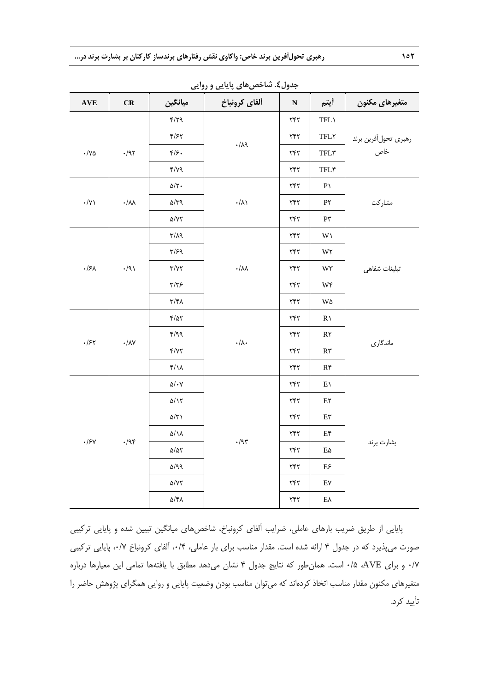| $\mathbf{AVE}$                                                                     | CR                                                             | ميانگين                             | <b>ب پ</b> ۲۰۰۰ میلی در ۲۷۰ میل<br>ألفاي كرونباخ           | $\bullet$ , $\cdot$<br>${\bf N}$ | أيتم                                                      | متغيرهاى مكنون              |
|------------------------------------------------------------------------------------|----------------------------------------------------------------|-------------------------------------|------------------------------------------------------------|----------------------------------|-----------------------------------------------------------|-----------------------------|
|                                                                                    |                                                                | $f/\gamma q$                        |                                                            | $\tau$ ۴۲                        | TFL                                                       |                             |
|                                                                                    |                                                                | $\mathfrak{f}/\mathfrak{F}$         |                                                            | $\tau$ ۴۲                        | $\ensuremath{\mathsf{TFLY}}$                              |                             |
| $\cdot/\mathrm{VA}$                                                                | $\cdot$ /95                                                    | $\mathfrak{f}/\mathfrak{f}$ .       | $\cdot/\lambda$ ٩                                          | $\tau$ ۴۲                        | $\ensuremath{\mathsf{TFL}}\xspace\ensuremath{\mathsf{r}}$ | رهبري تحولأفرين برند<br>خاص |
|                                                                                    |                                                                | $\mathcal{M}\setminus\mathcal{M}$   |                                                            | ٢۴٢                              | <b>TFL*</b>                                               |                             |
|                                                                                    |                                                                | $\Delta/\Upsilon$ .                 |                                                            | $\tau$ ۴۲                        | $P\setminus$                                              |                             |
| $\boldsymbol{\cdot}/\Upsilon\boldsymbol{\setminus}$                                | $\boldsymbol{\cdot} / \boldsymbol{\wedge} \boldsymbol{\wedge}$ | $\Delta/\Upsilon$ 9                 | $\cdot/\lambda\backslash$                                  | ٢۴٢                              | $P\Upsilon$                                               | مشاركت                      |
|                                                                                    |                                                                | $\Delta/\Upsilon\Upsilon$           |                                                            | $\tau$ ۴۲                        | $\mathsf{P}\mathsf{y}$                                    |                             |
|                                                                                    |                                                                | $\mathcal{M}\backslash\mathcal{T}$  |                                                            | ٢۴٢                              | $W\smallsetminus$                                         |                             |
|                                                                                    |                                                                | $\Gamma/\mathcal{F}$                |                                                            | ۲۴۲                              | W٢                                                        |                             |
| $\cdot$ />A                                                                        | $\cdot$ /9)                                                    | $\Upsilon/\Upsilon$                 | $\boldsymbol{\cdot}/\lambda\lambda$                        | $\tau$ ۴۲                        | $W\mathfrak{r}$                                           | تبليغات شفاهي               |
|                                                                                    |                                                                | $\tau/\tau$ ۶                       |                                                            | ٢۴٢                              | $W\mathfrak{f}$                                           |                             |
|                                                                                    |                                                                | $\uparrow/\uparrow\uparrow\uparrow$ |                                                            | $\tau$ ۴۲                        | W۵                                                        |                             |
|                                                                                    |                                                                | $\frac{1}{2}$                       | $\boldsymbol{\cdot}/\boldsymbol{\wedge}\boldsymbol{\cdot}$ | ٢۴٢                              | $R \setminus$                                             |                             |
| $\cdot$ /۶۲                                                                        | $\boldsymbol{\cdot} / \lambda \mathsf{Y}$                      | f/qq                                |                                                            | ۲۴۲                              | $R\mathsf{Y}$                                             | ماندگاري                    |
|                                                                                    |                                                                | Y/YY                                |                                                            | $\tau$ ۴۲                        | $\mathsf{R}\mathsf{t}$                                    |                             |
|                                                                                    |                                                                | $f/\lambda$                         |                                                            | $\tau$ ۴۲                        | $R\mathfrak{r}$                                           |                             |
|                                                                                    |                                                                | $\Delta/\,\text{-}\,\mathrm{V}$     |                                                            | ٢۴٢                              | $E\Lambda$                                                |                             |
|                                                                                    |                                                                | $\Delta/\Upsilon$                   |                                                            | $\tau$ ۴۲                        | $E\mathbf{Y}$                                             |                             |
|                                                                                    |                                                                | $\Delta/\Upsilon$                   |                                                            | $\tau$ ۴۲                        | $\mathrm{E}\mathbf{v}$                                    |                             |
| $\cdot$ /95<br>$\boldsymbol{\cdot}/\boldsymbol{\mathit{F}}\boldsymbol{\mathit{V}}$ |                                                                | $\Delta/\Lambda$                    | $\cdot/\mathfrak{A}\mathfrak{r}$                           | $\tau$ ۴۲                        | $E\mathfrak{r}$                                           |                             |
|                                                                                    |                                                                | $\Delta/\Delta\Upsilon$             |                                                            | $\tau$ ۴۲                        | $E\Delta$                                                 | بشارت برند                  |
|                                                                                    |                                                                | $\Delta/Q$                          |                                                            | ٢۴٢                              | $\mathrm{E}\mathnormal{\varepsilon}$                      |                             |
|                                                                                    |                                                                | $\Delta/\mathrm{V}\mathrm{V}$       |                                                            | ۲۴۲                              | E٧                                                        |                             |
|                                                                                    |                                                                | ۵/۴۸                                |                                                            | $\tau$ ۴۲                        | $E\lambda$                                                |                             |

**جدول.4 شاخصهای پایایی و روایی**

پایایی از طریق ضریب بارهای عاملی، ضرایب آلفای کرونباخ، شاخصهای میانگین تبیین شده و پایایی ترکیبی صورت میپذیرد که در جدول 4 ارائه شده است. مقدار مناسب برای بار عاملی، ،1/4 آلفای کرونباخ ،1/7 پایایی ترکیبی 1/7 و برای AVE، 1/1 است. همانطور که نتایج جدول 4 نشان میدهد مطابق با یافتهها تمامی این معیارها درباره متغیرهای مکنون مقدار مناسب اتخاذ کردهاند که میتوان مناسب بودن وضعیت پایایی و روایی همگرای پژوهش حاضر را تأیید کرد.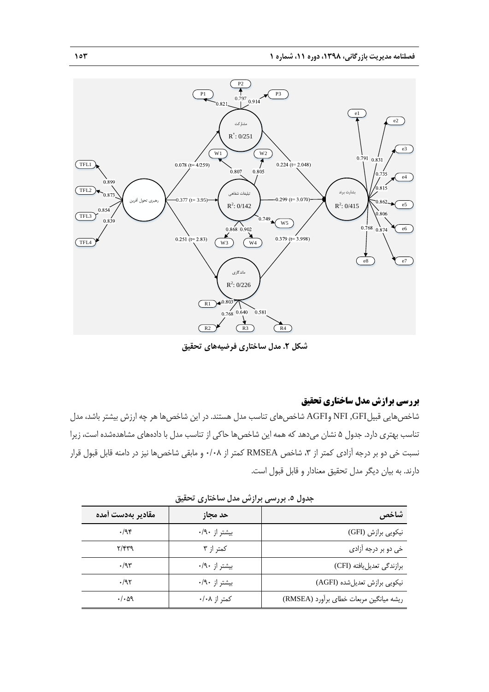

**شکل .1 مدل ساختاری فرضیههای تحقیق**

## **بررسی برازش مدل ساختاری تحقیق**

شاخص هایی قبیلNFI ,GFI وAGFI شاخصهای تناسب مدل هستند. در این شاخصها هر چه ارزش بیشتر باشد، مدل تناسب بهتری دارد. جدول 1 نشان میدهد که همه این شاخصها حاکی از تناسب مدل با دادههای مشاهدهشده است، زیرا نسبت خی دو بر درجه آزادی کمتر از ۳، شاخص RMSEA کمتر از ۰/۰۸ و مابقی شاخصها نیز در دامنه قابل قبول قرار دارند. به بیان دیگر مدل تحقیق معنادار و قابل قبول است.

| مقادير بهدست أمده          | حد مجاز       | شاخص                                    |
|----------------------------|---------------|-----------------------------------------|
| .44                        | بیشتر از ۰/۹۰ | نیکویی برازش (GFI)                      |
| $\mathcal{M}(\mathcal{M})$ | کمتر از ۳     | خي دو بر درجه آزاد <i>ي</i>             |
| $\cdot$ /95                | بیشتر از ۰/۹۰ | برازندگی تعدیل یافته (CFI)              |
| .795                       | بيشتر از ۰/۹۰ | نیکویی برازش تعدیل شده (AGFI)           |
| $\cdot/\cdot$ aq           | کمتر از ۰/۰۸  | ريشه ميانگين مربعات خطاي برأورد (RMSEA) |

**جدول .1 بررسی برازش مدل ساختاری تحقیق**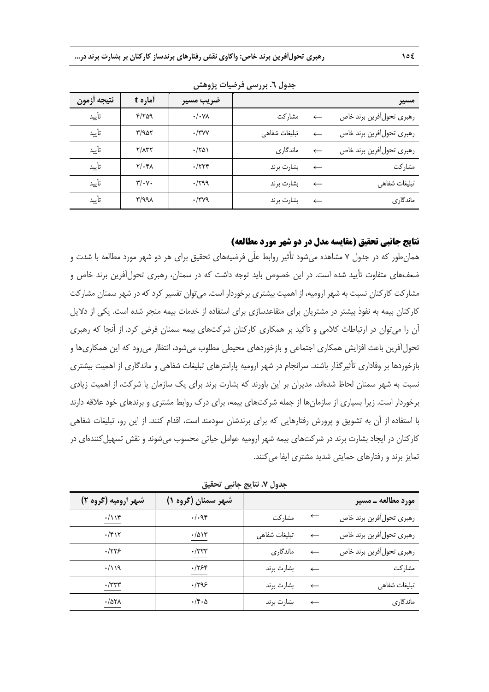| نتيجه أزمون | أماره t                 | ضريب مسير        |               |              | مسير                      |
|-------------|-------------------------|------------------|---------------|--------------|---------------------------|
| تأىد        | 4709                    | $\cdot/\cdot$ YA | مشاركت        |              | رهبري تحول أفرين برند خاص |
| تأىد        | $\mathbf{r}/\mathbf{a}$ | $\cdot$ /۳۷۷     | تبليغات شفاهى |              | رهبري تحول أفرين برند خاص |
| تأىيد       | Y/AYY                   | $\cdot$ /۲۵۱     | ماندگاری      |              | رهبري تحول أفرين برند خاص |
| تأىد        | $Y/\cdot Y$             | $\cdot$ /۲۲۴     | بشارت برند    | $\leftarrow$ | مشاركت                    |
| تأىد        | $\mathbf{y}/\mathbf{y}$ | $\cdot$ /۲۹۹     | بشارت برند    |              | تبليغات شفاهى             |
| تأىد        | ۳/۹۹۸                   | $\cdot$ /۳۷۹     | بشارت برند    |              | ماندگاری                  |

**جدول .1 بررسی فرضیات پژوهش**

## **نتایج جانبی تحقیق )مقایسه مدل در دو شهر مورد مطالعه(**

همانطور که در جدول 7 مشاهده میشود تأثیر روابط علّی فرضیههای تحقیق برای هر دو شهر مورد مطالعه با شدت و ضعفهای متفاوت تأیید شده است. در این خصوص باید توجه داشت که در سمنان، رهبری تحولآفرین برند خاص و مشارکت کارکنان نسبت به شهر ارومیه، از اهمیت بیشتری برخوردار است. میتوان تفسیر کرد که در شهر سمنان مشارکت کارکنان بیمه به نفوذ بیشتر در مشتریان برای متقاعدسازی برای استفاده از خدمات بیمه منجر شده است. یکی از دالیل آن را میتوان در ارتباطات کالمی و تأکید بر همکاری کارکنان شرکتهای بیمه سمنان فرض کرد. از آنجا که رهبری تحولآفرین باعث افزایش همکاری اجتماعی و بازخوردهای محیطی مطلوب میشود، انتظار میرود که این همکاریها و بازخوردها بر وفاداری تأثیرگذار باشند. سرانجام در شهر ارومیه پارامترهای تبلیغات شفاهی و ماندگاری از اهمیت بیشتری نسبت به شهر سمنان لحاظ شدهاند. مدیران بر این باورند که بشارت برند برای یک سازمان یا شرکت، از اهمیت زیادی برخوردار است. زیرا بسیاری از سازمانها از جمله شرکتهای بیمه، برای درک روابط مشتری و برندهای خود عالقه دارند با استفاده از آن به تشویق و پرورش رفتارهایی که برای برندشان سودمند است، اقدام کنند. از این رو، تبلیغات شفاهی کارکنان در ایجاد بشارت برند در شرکتهای بیمه شهر ارومیه عوامل حیاتی محسوب میشوند و نقش تسهیل کنندهای در تمایز برند و رفتارهای حمایتی شدید مشتری ایفا میکنند.

| جدول ٧. نتايج جانبي تحقيق |  |  |  |  |
|---------------------------|--|--|--|--|
|---------------------------|--|--|--|--|

| شهر ارومیه (گروه ۲) | شهر سمنان (گروه ۱)        |               |              | مورد مطالعه ـ مسير        |
|---------------------|---------------------------|---------------|--------------|---------------------------|
| $\cdot/\iota$       | .494                      | مشاركت        |              | رهبري تحول أفرين برند خاص |
| $\cdot$ /۴۱۲        | $\cdot/\Delta$ $\Upsilon$ | تبليغات شفاهى | $\leftarrow$ | رهبري تحول أفرين برند خاص |
| .779                | $\cdot$ /۳۲۳              | ماندگاری      | $\leftarrow$ | رهبري تحول أفرين برند خاص |
| $\cdot/\lambda$     | .755                      | بشارت برند    | $\leftarrow$ | مشاركت                    |
| $\cdot$ /۳۳۳        | ۹۶۹۶.                     | بشارت برند    | $\leftarrow$ | تبليغات شفاهي             |
| $\cdot$ /971        | $\cdot$ /۴ $\cdot$ ۵      | بشارت برند    | $\leftarrow$ | ماندگاری                  |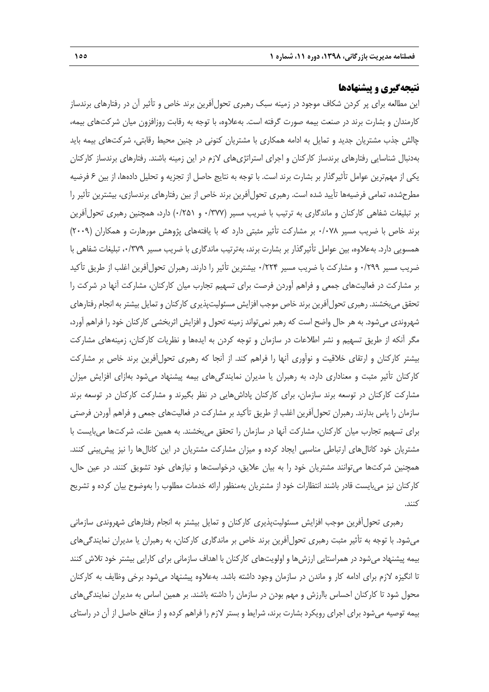## **نتیجهگیری و پیشنهادها**

این مطالعه برای پر کردن شکاف موجود در زمینه سبک رهبری تحولآفرین برند خاص و تأثیر آن در رفتارهای برندساز کارمندان و بشارت برند در صنعت بیمه صورت گرفته است. بهعالوه، با توجه به رقابت روزافزون میان شرکتهای بیمه، چالش جذب مشتریان جدید و تمایل به ادامه همکاری با مشتریان کنونی در چنین محیط رقابتی، شرکتهای بیمه باید بهدنبال شناسایی رفتارهای برندساز کارکنان و اجرای استراتژیهای الزم در این زمینه باشند. رفتارهای برندساز کارکنان یکی از مهمترین عوامل تأثیرگذار بر بشارت برند است. با توجه به نتایج حاصل از تجزیه و تحلیل دادهها، از بین 6 فرضیه مطرحشده، تمامی فرضیهها تأیید شده است. رهبری تحولآفرین برند خاص از بین رفتارهای برندسازی، بیشترین تأثیر را بر تبلیغات شفاهی کارکنان و ماندگاری به ترتیب با ضریب مسیر )1/977 و 1/211( دارد، همچنین رهبری تحولآفرین برند خاص با ضریب مسیر 1/171 بر مشارکت تأثیر مثبتی دارد که با یافتههای پژوهش مورهارت و همکاران )2113( همسویی دارد. بهعالوه، بین عوامل تأثیرگذار بر بشارت برند، بهترتیب ماندگاری با ضریب مسیر ،1/973 تبلیغات شفاهی با ضریب مسیر 1/233 و مشارکت با ضریب مسیر 1/224 بیشترین تأثیر را دارند. رهبران تحولآفرین اغلب از طریق تأکید بر مشارکت در فعالیتهای جمعی و فراهم آوردن فرصت برای تسهیم تجارب میان کارکنان، مشارکت آنها در شرکت را تحقق میبخشند. رهبری تحولآفرین برند خاص موجب افزایش مسئولیتپذیری کارکنان و تمایل بیشتر به انجام رفتارهای شهروندی میشود. به هر حال واضح است که رهبر نمیتواند زمینه تحول و افزایش اثربخشی کارکنان خود را فراهم آورد، مگر آنکه از طریق تسهیم و نشر اطالعات در سازمان و توجه کردن به ایدهها و نظریات کارکنان، زمینههای مشارکت بیشتر کارکنان و ارتقای خالقیت و نوآوری آنها را فراهم کند. از آنجا که رهبری تحولآفرین برند خاص بر مشارکت کارکنان تأثیر مثبت و معناداری دارد، به رهبران یا مدیران نمایندگیهای بیمه پیشنهاد میشود بهازای افزایش میزان مشارکت کارکنان در توسعه برند سازمان، برای کارکنان پاداشهایی در نظر بگیرند و مشارکت کارکنان در توسعه برند سازمان را پاس بدارند. رهبران تحولآفرین اغلب از طریق تأکید بر مشارکت در فعالیتهای جمعی و فراهم آوردن فرصتی برای تسهیم تجارب میان کارکنان، مشارکت آنها در سازمان را تحقق میبخشند. به همین علت، شرکتها میبایست با مشتریان خود کانالهای ارتباطی مناسبی ایجاد کرده و میزان مشارکت مشتریان در این کانالها را نیز پیشبینی کنند. همچنین شرکتها میتوانند مشتریان خود را به بیان عالیق، درخواستها و نیازهای خود تشویق کنند. در عین حال، کارکنان نیز میبایست قادر باشند انتظارات خود از مشتریان بهمنظور ارائه خدمات مطلوب را بهوضوح بیان کرده و تشریح کنند.

رهبری تحولآفرین موجب افزایش مسئولیتپذیری کارکنان و تمایل بیشتر به انجام رفتارهای شهروندی سازمانی میشود. با توجه به تأثیر مثبت رهبری تحولآفرین برند خاص بر ماندگاری کارکنان، به رهبران یا مدیران نمایندگیهای بیمه پیشنهاد میشود در همراستایی ارزشها و اولویتهای کارکنان با اهداف سازمانی برای کارایی بیشتر خود تالش کنند تا انگیزه الزم برای ادامه کار و ماندن در سازمان وجود داشته باشد. بهعالوه پیشنهاد میشود برخی وظایف به کارکنان محول شود تا کارکنان احساس باارزش و مهم بودن در سازمان را داشته باشند. بر همین اساس به مدیران نمایندگیهای بیمه توصیه میشود برای اجرای رویکرد بشارت برند، شرایط و بستر الزم را فراهم کرده و از منافع حاصل از آن در راستای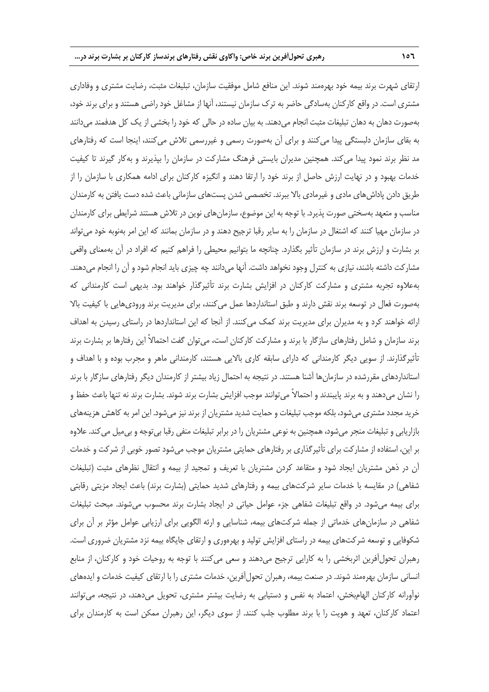ارتقای شهرت برند بیمه خود بهرهمند شوند. این منافع شامل موفقیت سازمان، تبلیغات مثبت، رضایت مشتری و وفاداری مشتری است. در واقع کارکنان بهسادگی حاضر به ترک سازمان نیستند، آنها از مشاغل خود راضی هستند و برای برند خود، بهصورت دهان به دهان تبلیغات مثبت انجام میدهند. به بیان ساده در حالی که خود را بخشی از یک کل هدفمند میدانند به بقای سازمان دلبستگی پیدا میکنند و برای آن بهصورت رسمی و غیررسمی تالش میکنند، اینجا است که رفتارهای مد نظر برند نمود پیدا میکند. همچنین مدیران بایستی فرهنگ مشارکت در سازمان را بپذیرند و بهکار گیرند تا کیفیت خدمات بهبود و در نهایت ارزش حاصل از برند خود را ارتقا دهند و انگیزه کارکنان برای ادامه همکاری با سازمان را از طریق دادن پاداشهای مادی و غیرمادی باال ببرند. تخصصی شدن پستهای سازمانی باعث شده دست یافتن به کارمندان مناسب و متعهد بهسختی صورت پذیرد. با توجه به این موضوع، سازمانهای نوین در تالش هستند شرایطی برای کارمندان در سازمان مهیا کنند که اشتغال در سازمان را به سایر رقبا ترجیح دهند و در سازمان بمانند که این امر بهنوبه خود میتواند بر بشارت و ارزش برند در سازمان تأثیر بگذارد. چنانچه ما بتوانیم محیطی را فراهم کنیم که افراد در آن بهمعنای واقعی مشارکت داشته باشند، نیازی به کنترل وجود نخواهد داشت. آنها می دانند چه چیزی باید انجام شود و آن را انجام می دهند. بهعالوه تجربه مشتری و مشارکت کارکنان در افزایش بشارت برند تأثیرگذار خواهند بود. بدیهی است کارمندانی که بهصورت فعال در توسعه برند نقش دارند و طبق استانداردها عمل میکنند، برای مدیریت برند ورودیهایی با کیفیت باال ارائه خواهند کرد و به مدیران برای مدیریت برند کمک میکنند. از آنجا که این استانداردها در راستای رسیدن به اهداف برند سازمان و شامل رفتارهای سازگار با برند و مشارکت کارکنان است، میتوان گفت احتماالً این رفتارها بر بشارت برند تأثیرگذارند. از سویی دیگر کارمندانی که دارای سابقه کاری باالیی هستند، کارمندانی ماهر و مجرب بوده و با اهداف و استانداردهای مقررشده در سازمانها آشنا هستند. در نتیجه به احتمال زیاد بیشتر از کارمندان دیگر رفتارهای سازگار با برند را نشان میدهند و به برند پایبندند و احتماالً میتوانند موجب افزایش بشارت برند شوند. بشارت برند نه تنها باعث حفظ و خرید مجدد مشتری می شود، بلکه موجب تبلیغات و حمایت شدید مشتریان از برند نیز می شود. این امر به کاهش هزینههای بازاریابی و تبلیغات منجر میشود، همچنین به نوعی مشتریان را در برابر تبلیغات منفی رقبا بیتوجه و بیمیل میکند. عالوه بر این، استفاده از مشارکت برای تأثیرگذاری بر رفتارهای حمایتی مشتریان موجب میشود تصور خوبی از شرکت و خدمات آن در ذهن مشتریان ایجاد شود و متقاعد کردن مشتریان با تعریف و تمجید از بیمه و انتقال نظرهای مثبت )تبلیغات شفاهی) در مقایسه با خدمات سایر شرکتهای بیمه و رفتارهای شدید حمایتی (بشارت برند) باعث ایجاد مزیتی رقابتی برای بیمه میشود. در واقع تبلیغات شفاهی جزء عوامل حیاتی در ایجاد بشارت برند محسوب میشوند. مبحث تبلیغات شفاهی در سازمانهای خدماتی از جمله شرکتهای بیمه، شناسایی و ارئه الگویی برای ارزیابی عوامل مؤثر بر آن برای شکوفایی و توسعه شرکتهای بیمه در راستای افزایش تولید و بهرهوری و ارتقای جایگاه بیمه نزد مشتریان ضروری است. رهبران تحولآفرین اثربخشی را به کارایی ترجیح میدهند و سعی میکنند با توجه به روحیات خود و کارکنان، از منابع انسانی سازمان بهرهمند شوند. در صنعت بیمه، رهبران تحولآفرین، خدمات مشتری را با ارتقای کیفیت خدمات و ایدههای نوآورانه کارکنان الهامبخش، اعتماد به نفس و دستیابی به رضایت بیشتر مشتری، تحویل میدهند، در نتیجه، میتوانند اعتماد کارکنان، تعهد و هویت را با برند مطلوب جلب کنند. از سوی دیگر، این رهبران ممکن است به کارمندان برای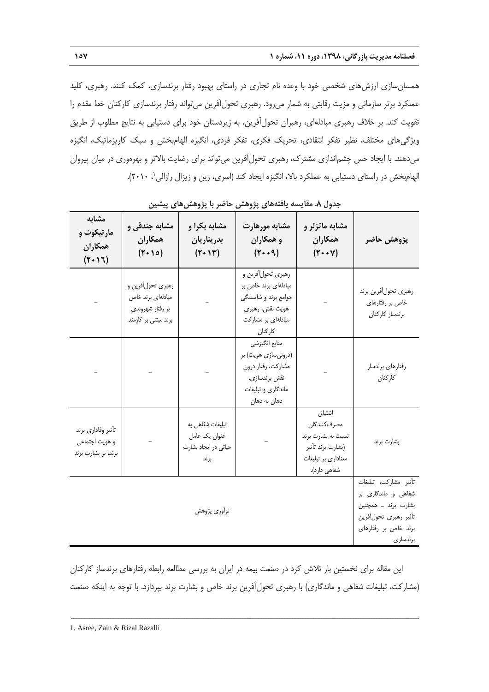همسانسازی ارزشهای شخصی خود با وعده نام تجاری در راستای بهبود رفتار برندسازی، کمک کنند. رهبری، کلید عملکرد برتر سازمانی و مزیت رقابتی به شمار میرود. رهبری تحولآفرین میتواند رفتار برندسازی کارکنان خط مقدم را تقویت کند. بر خالف رهبری مبادلهای، رهبران تحولآفرین، به زیردستان خود برای دستیابی به نتایج مطلوب از طریق ویژگیهای مختلف، نظیر تفکر انتقادی، تحریک فکری، تفکر فردی، انگیزه الهامبخش و سبک کاریزماتیک، انگیزه میدهند. با ایجاد حس چشماندازی مشترک، رهبری تحولآفرین میتواند برای رضایت باالتر و بهرهوری در میان پیروان لهامبخش در راستای دستیابی به عملکرد بالا، انگیزه ایجاد کند (اسری، زین و زیزال رازالی'، ۲۰۱۰).

| مشابه<br>مار تیکوت و<br>همكاران<br>(5.17)                   | مشابه جندقی و<br>همكاران<br>$(\tau \cdot \rho)$                                    | مشابه بكرا و<br>بدريناريان<br>$(\tau \cdot \mathcal{S})$          | مشابه مورهارت<br>و همکاران<br>$(\mathbf{r} \cdot \mathbf{q})$                                                         | مشابه ماتزلر و<br>همكاران<br>$(Y \cdot \cdot \vee)$                                                      | پژوهش حاضر                                                                                                                                |
|-------------------------------------------------------------|------------------------------------------------------------------------------------|-------------------------------------------------------------------|-----------------------------------------------------------------------------------------------------------------------|----------------------------------------------------------------------------------------------------------|-------------------------------------------------------------------------------------------------------------------------------------------|
|                                                             | رهبري تحولأفرين و<br>مبادلهاى برند خاص<br>بر رفتار شهروندي<br>برند مبتنی بر کارمند |                                                                   | رهبري تحولأفرين و<br>مبادلهای برند خاص بر<br>جوامع برند و شایستگی<br>هويت نقش، رهبري<br>مبادلهای بر مشارکت<br>كاركنان |                                                                                                          | رهبري تحول أفرين برند<br>خاص بر رفتارهای<br>برندساز كاركنان                                                                               |
|                                                             |                                                                                    |                                                                   | منابع انگیزشی<br>(درونیسازی هویت) بر<br>مشاركت، رفتار درون<br>نقش برندسازى،<br>ماندگاري و تبليغات<br>دهان به دهان     |                                                                                                          | رفتارهاى برندساز<br>كاركنان                                                                                                               |
| تأثير وفاداري برند<br>و هويت اجتماعي<br>برند، بر بشارت برند |                                                                                    | تبلیغات شفاهی به<br>عنوان يک عامل<br>حیاتی در ایجاد بشارت<br>برند |                                                                                                                       | اشتياق<br>مصرف كنندگان<br>نسبت به بشارت برند<br>(بشارت برند تأثير<br>معناداری بر تبلیغات<br>شفاهی دارد). | بشارت برند                                                                                                                                |
|                                                             |                                                                                    | نوأورى پژوهش                                                      |                                                                                                                       |                                                                                                          | تأثير مشاركت، تبليغات<br>شفاهی و ماندگار <i>ی</i> بر<br>بشارت برند _ همچنین<br>تأثير رهبري تحول أفرين<br>برند خاص بر رفتارهای<br>برندسازى |

**جدول .1 مقایسه یافتههای پژوهش حاضر با پژوهشهای پیشین**

این مقاله برای نخستین بار تالش کرد در صنعت بیمه در ایران به بررسی مطالعه رابطه رفتارهای برندساز کارکنان )مشارکت، تبلیغات شفاهی و ماندگاری( با رهبری تحولآفرین برند خاص و بشارت برند بپردازد. با توجه به اینکه صنعت

ــــــــــــــــــــــــــــــــــــــــــــــــــــــــــــــــــــــــــــــــــــــــــــــــــــــــــــــــــــــــــــــــــــ

1. Asree, Zain & Rizal Razalli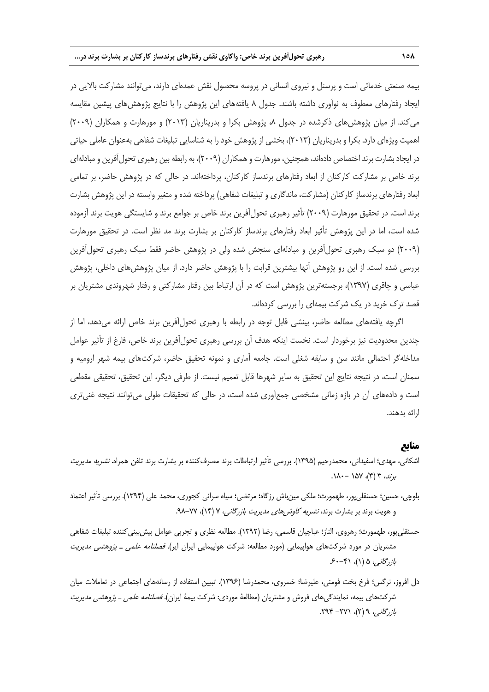بیمه صنعتی خدماتی است و پرسنل و نیروی انسانی در پروسه محصول نقش عمدهای دارند، میتوانند مشارکت باالیی در ایجاد رفتارهای معطوف به نوآوری داشته باشند. جدول 1 یافتههای این پژوهش را با نتایج پژوهشهای پیشین مقایسه می کند. از میان پژوهش های ذکرشده در جدول ۸، پژوهش بکرا و بدریناریان (۲۰۱۳) و مورهارت و همکاران (۲۰۰۹) اهمیت ویژهای دارد. بکرا و بدریناریان )2119(، بخشی از پژوهش خود را به شناسایی تبلیغات شفاهی بهعنوان عاملی حیاتی در ایجاد بشارت برند اختصاص دادهاند، همچنین، مورهارت و همکاران (۲۰۰۹)، به رابطه بین رهبری تحول آفرین و مبادلهای برند خاص بر مشارکت کارکنان از ابعاد رفتارهای برندساز کارکنان، پرداختهاند. در حالی که در پژوهش حاضر، بر تمامی ابعاد رفتارهای برندساز کارکنان (مشارکت، ماندگاری و تبلیغات شفاهی) پرداخته شده و متغیر وابسته در این پژوهش بشارت برند است. در تحقیق مورهارت )2113( تأثیر رهبری تحولآفرین برند خاص بر جوامع برند و شایستگی هویت برند آزموده شده است، اما در این پژوهش تأثیر ابعاد رفتارهای برندساز کارکنان بر بشارت برند مد نظر است. در تحقیق مورهارت )2113( دو سبک رهبری تحولآفرین و مبادلهای سنجش شده ولی در پژوهش حاضر فقط سبک رهبری تحولآفرین بررسی شده است. از این رو پژوهش آنها بیشترین قرابت را با پژوهش حاضر دارد. از میان پژوهشهای داخلی، پژوهش عباسی و چاقری )1937(، برجستهترین پژوهش است که در آن ارتباط بین رفتار مشارکتی و رفتار شهروندی مشتریان بر قصد ترک خرید در یک شرکت بیمهای را بررسی کردهاند.

اگرچه یافتههای مطالعه حاضر، بینشی قابل توجه در رابطه با رهبری تحولآفرین برند خاص ارائه میدهد، اما از چندین محدودیت نیز برخوردار است. نخست اینکه هدف آن بررسی رهبری تحولآفرین برند خاص، فارغ از تأثیر عوامل مداخلهگر احتمالی مانند سن و سابقه شغلی است. جامعه آماری و نمونه تحقیق حاضر، شرکتهای بیمه شهر ارومیه و سمنان است، در نتیجه نتایج این تحقیق به سایر شهرها قابل تعمیم نیست. از طرفی دیگر، این تحقیق، تحقیقی مقطعی است و دادههای آن در بازه زمانی مشخصی جمعآوری شده است، در حالی که تحقیقات طولی میتوانند نتیجه غنیتری ارائه بدهند.

#### **منابع**

- اشکانی، مهدی؛ اسفیدانی، محمدرحیم (۱۳۹۵). بررسی تأثیر ارتباطات برند مصرفکننده بر بشارت برند تلفن همراه. *نشریه مدیریت* برند، ۳ (۴)، ۱۵۷ -۱۸۰.
- بلوچی، حسین؛ حسنقلیپور، طهمورث؛ ملکی مینباش رزگاه؛ مرتضی؛ سیاه سرانی کجوری، محمد علی )1934(. بررسی تأثیر اعتماد و هویت برند بر بشارت برند، *نشریه کاوشهای مدیریت بازرگانی، ۷ (۱۴)، ۷۷–۹*۸.
- حسنقلیپور، طهمورث؛ رهروی، الناز؛ عباچیان قاسمی، رضا )1932(. مطالعه نظری و تجربی عوامل پیشبینیکننده تبلیغات شفاهی مشتریان در مورد شرکتهای هواپیمایی (مورد مطالعه: شرکت هواپیمایی ایران ایر). *فصلنامه علمی ـ پژوهشی مدیریت*  $5 - 5 - 1$  )، (۱)، ۶۰–۴۱
- دل افروز، نرگس؛ فرخ بخت فومنی، علیرضا؛ خسروی، محمدرضا (۱۳۹۶). تبیین استفاده از رسانههای اجتماعی در تعاملات میان شرکتهای بیمه، نمایندگیهای فروش و مشتریان (مطالعۀ موردی: شرکت بیمۀ ایران). *فصلنامه علمی ـ پژوهشی مدیریت* بازرگانه ۲ (۲)، ۲۷۱ - ۲۹۴.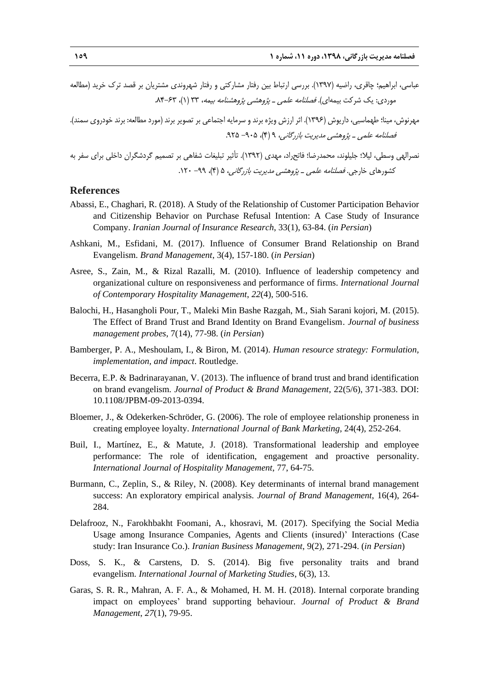- عباسی، ابراهیم؛ چاقری، راضیه )1937(. بررسی ارتباط بین رفتار مشارکتی و رفتار شهروندی مشتریان بر قصد ترک خرید )مطالعه موردی: یک شرکت بیمهای). *فصلنامه علمی ـ پژوهشی پژوهشنامه بیمه*، ۳۳ (۱)، ۶۳-۸۴.
- مهرنوش، مینا؛ طهماسبی، داریوش (۱۳۹۶). اثر ارزش ویژه برند و سرمایه اجتماعی بر تصویر برند (مورد مطالعه: برند خودروی سمند). فصلنامه علمی ـ پژوهشی مدیریت بازرگانی، ۹ (۴)، ۶۰۵– ۹۲۵.

نصرالهی وسطی، لیال؛ جلیلوند، محمدرضا؛ فاتحراد، مهدی )1932(. تأثیر تبلیغات شفاهی بر تصمیم گردشگران داخلی برای سفر به کشورهای خارجی. فصلنامه علمی <sup>ـ</sup> پژوهشی مدیریت بازرگانی، 1 )4(، -33 .121

#### **References**

- Abassi, E., Chaghari, R. (2018). A Study of the Relationship of Customer Participation Behavior and Citizenship Behavior on Purchase Refusal Intention: A Case Study of Insurance Company. *Iranian Journal of Insurance Research*, 33(1), 63-84. (*in Persian*)
- Ashkani, M., Esfidani, M. (2017). Influence of Consumer Brand Relationship on Brand Evangelism. *Brand Management*, 3(4), 157-180. (*in Persian*)
- Asree, S., Zain, M., & Rizal Razalli, M. (2010). Influence of leadership competency and organizational culture on responsiveness and performance of firms. *International Journal of Contemporary Hospitality Management*, *22*(4), 500-516.
- Balochi, H., Hasangholi Pour, T., Maleki Min Bashe Razgah, M., Siah Sarani kojori, M. (2015). The Effect of Brand Trust and Brand Identity on Brand Evangelism. *Journal of business management probes*, 7(14), 77-98. (*in Persian*)
- Bamberger, P. A., Meshoulam, I., & Biron, M. (2014). *Human resource strategy: Formulation, implementation, and impact*. Routledge.
- Becerra, E.P. & Badrinarayanan, V. (2013). The influence of brand trust and brand identification on brand evangelism. *Journal of Product & Brand Management*, 22(5/6), 371-383. DOI: 10.1108/JPBM-09-2013-0394.
- Bloemer, J., & Odekerken-Schröder, G. (2006). The role of employee relationship proneness in creating employee loyalty. *International Journal of Bank Marketing*, 24(4), 252-264.
- Buil, I., Martínez, E., & Matute, J. (2018). Transformational leadership and employee performance: The role of identification, engagement and proactive personality. *International Journal of Hospitality Management*, 77, 64-75.
- Burmann, C., Zeplin, S., & Riley, N. (2008). Key determinants of internal brand management success: An exploratory empirical analysis. *Journal of Brand Management*, 16(4), 264- 284.
- Delafrooz, N., Farokhbakht Foomani, A., khosravi, M. (2017). Specifying the Social Media Usage among Insurance Companies, Agents and Clients (insured)' Interactions (Case study: Iran Insurance Co.). *Iranian Business Management*, 9(2), 271-294. (*in Persian*)
- Doss, S. K., & Carstens, D. S. (2014). Big five personality traits and brand evangelism. *International Journal of Marketing Studies*, 6(3), 13.
- Garas, S. R. R., Mahran, A. F. A., & Mohamed, H. M. H. (2018). Internal corporate branding impact on employees' brand supporting behaviour. *Journal of Product & Brand Management*, *27*(1), 79-95.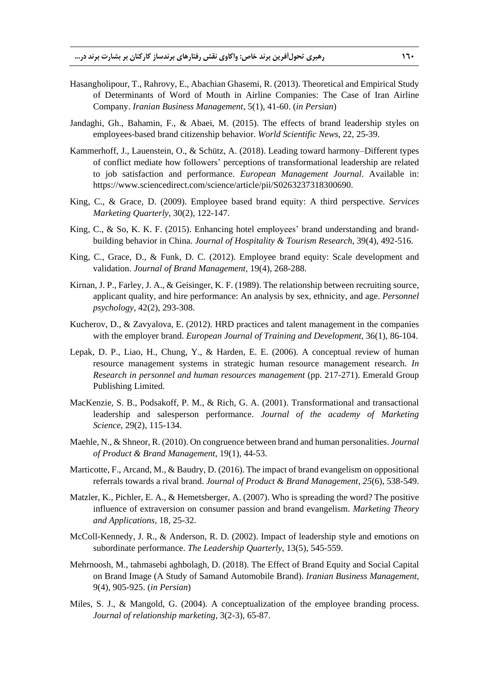- Hasangholipour, T., Rahrovy, E., Abachian Ghasemi, R. (2013). Theoretical and Empirical Study of Determinants of Word of Mouth in Airline Companies: The Case of Iran Airline Company. *Iranian Business Management*, 5(1), 41-60. (*in Persian*)
- Jandaghi, Gh., Bahamin, F., & Abaei, M. (2015). The effects of brand leadership styles on employees-based brand citizenship behavior. *World Scientific News*, 22, 25-39.
- Kammerhoff, J., Lauenstein, O., & Schütz, A. (2018). Leading toward harmony–Different types of conflict mediate how followers' perceptions of transformational leadership are related to job satisfaction and performance. *European Management Journal*. Available in: https://www.sciencedirect.com/science/article/pii/S0263237318300690.
- King, C., & Grace, D. (2009). Employee based brand equity: A third perspective. *Services Marketing Quarterly*, 30(2), 122-147.
- King, C., & So, K. K. F. (2015). Enhancing hotel employees' brand understanding and brandbuilding behavior in China. *Journal of Hospitality & Tourism Research*, 39(4), 492-516.
- King, C., Grace, D., & Funk, D. C. (2012). Employee brand equity: Scale development and validation. *Journal of Brand Management*, 19(4), 268-288.
- Kirnan, J. P., Farley, J. A., & Geisinger, K. F. (1989). The relationship between recruiting source, applicant quality, and hire performance: An analysis by sex, ethnicity, and age. *Personnel psychology*, 42(2), 293-308.
- Kucherov, D., & Zavyalova, E. (2012). HRD practices and talent management in the companies with the employer brand. *European Journal of Training and Development,* 36(1), 86-104.
- Lepak, D. P., Liao, H., Chung, Y., & Harden, E. E. (2006). A conceptual review of human resource management systems in strategic human resource management research. *In Research in personnel and human resources management* (pp. 217-271). Emerald Group Publishing Limited.
- MacKenzie, S. B., Podsakoff, P. M., & Rich, G. A. (2001). Transformational and transactional leadership and salesperson performance. *Journal of the academy of Marketing Science*, 29(2), 115-134.
- Maehle, N., & Shneor, R. (2010). On congruence between brand and human personalities. *Journal of Product & Brand Management*, 19(1), 44-53.
- Marticotte, F., Arcand, M., & Baudry, D. (2016). The impact of brand evangelism on oppositional referrals towards a rival brand. *Journal of Product & Brand Management*, *25*(6), 538-549.
- Matzler, K., Pichler, E. A., & Hemetsberger, A. (2007). Who is spreading the word? The positive influence of extraversion on consumer passion and brand evangelism. *Marketing Theory and Applications*, 18, 25-32.
- McColl-Kennedy, J. R., & Anderson, R. D. (2002). Impact of leadership style and emotions on subordinate performance. *The Leadership Quarterly*, 13(5), 545-559.
- Mehrnoosh, M., tahmasebi aghbolagh, D. (2018). The Effect of Brand Equity and Social Capital on Brand Image (A Study of Samand Automobile Brand). *Iranian Business Management*, 9(4), 905-925. (*in Persian*)
- Miles, S. J., & Mangold, G. (2004). A conceptualization of the employee branding process. *Journal of relationship marketing*, 3(2-3), 65-87.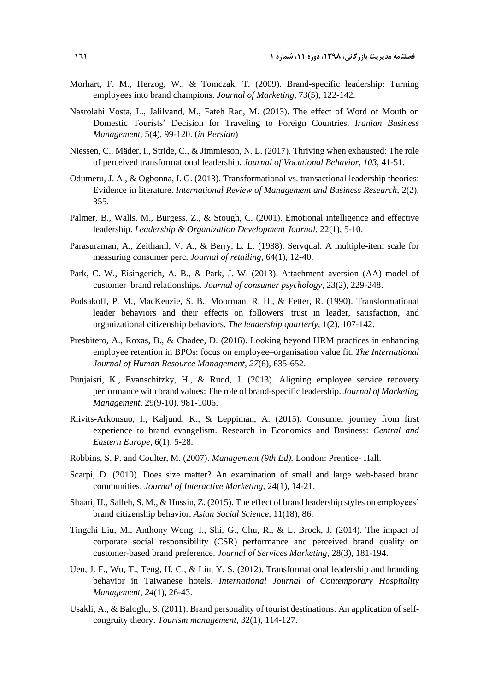- Morhart, F. M., Herzog, W., & Tomczak, T. (2009). Brand-specific leadership: Turning employees into brand champions. *Journal of Marketing*, 73(5), 122-142.
- Nasrolahi Vosta, L., Jalilvand, M., Fateh Rad, M. (2013). The effect of Word of Mouth on Domestic Tourists' Decision for Traveling to Foreign Countries. *Iranian Business Management*, 5(4), 99-120. (*in Persian*)
- Niessen, C., Mäder, I., Stride, C., & Jimmieson, N. L. (2017). Thriving when exhausted: The role of perceived transformational leadership. *Journal of Vocational Behavior*, *103*, 41-51.
- Odumeru, J. A., & Ogbonna, I. G. (2013). Transformational vs. transactional leadership theories: Evidence in literature. *International Review of Management and Business Research*, 2(2), 355.
- Palmer, B., Walls, M., Burgess, Z., & Stough, C. (2001). Emotional intelligence and effective leadership. *Leadership & Organization Development Journal*, 22(1), 5-10.
- Parasuraman, A., Zeithaml, V. A., & Berry, L. L. (1988). Servqual: A multiple-item scale for measuring consumer perc. *Journal of retailing*, 64(1), 12-40.
- Park, C. W., Eisingerich, A. B., & Park, J. W. (2013). Attachment–aversion (AA) model of customer–brand relationships. *Journal of consumer psychology*, 23(2), 229-248.
- Podsakoff, P. M., MacKenzie, S. B., Moorman, R. H., & Fetter, R. (1990). Transformational leader behaviors and their effects on followers' trust in leader, satisfaction, and organizational citizenship behaviors. *The leadership quarterly*, 1(2), 107-142.
- Presbitero, A., Roxas, B., & Chadee, D. (2016). Looking beyond HRM practices in enhancing employee retention in BPOs: focus on employee–organisation value fit. *The International Journal of Human Resource Management*, *27*(6), 635-652.
- Punjaisri, K., Evanschitzky, H., & Rudd, J. (2013). Aligning employee service recovery performance with brand values: The role of brand-specific leadership. *Journal of Marketing Management*, 29(9-10), 981-1006.
- Riivits-Arkonsuo, I., Kaljund, K., & Leppiman, A. (2015). Consumer journey from first experience to brand evangelism. Research in Economics and Business: *Central and Eastern Europe*, 6(1), 5-28.
- Robbins, S. P. and Coulter, M. (2007). *Management (9th Ed).* London: Prentice- Hall.
- Scarpi, D. (2010). Does size matter? An examination of small and large web-based brand communities. *Journal of Interactive Marketing*, 24(1), 14-21.
- Shaari, H., Salleh, S. M., & Hussin, Z. (2015). The effect of brand leadership styles on employees' brand citizenship behavior. *Asian Social Science*, 11(18), 86.
- Tingchi Liu, M., Anthony Wong, I., Shi, G., Chu, R., & L. Brock, J. (2014). The impact of corporate social responsibility (CSR) performance and perceived brand quality on customer-based brand preference. *Journal of Services Marketing*, 28(3), 181-194.
- Uen, J. F., Wu, T., Teng, H. C., & Liu, Y. S. (2012). Transformational leadership and branding behavior in Taiwanese hotels. *International Journal of Contemporary Hospitality Management*, *24*(1), 26-43.
- Usakli, A., & Baloglu, S. (2011). Brand personality of tourist destinations: An application of selfcongruity theory. *Tourism management*, 32(1), 114-127.